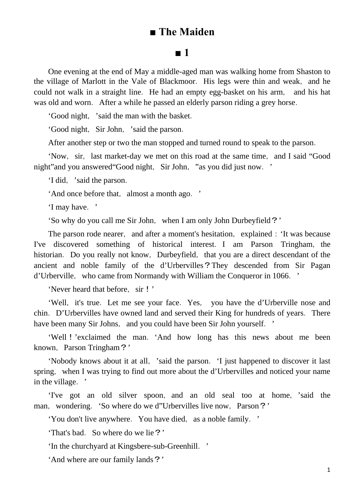# **■ The Maiden**

## **■ 1**

One evening at the end of May a middle-aged man was walking home from Shaston to the village of Marlott in the Vale of Blackmoor. His legs were thin and weak, and he could not walk in a straight line. He had an empty egg-basket on his arm, and his hat was old and worn. After a while he passed an elderly parson riding a grey horse.

'Good night, 'said the man with the basket.

'Good night, Sir John, 'said the parson.

After another step or two the man stopped and turned round to speak to the parson.

'Now, sir, last market-day we met on this road at the same time, and I said "Good night" and you answered "Good night, Sir John, "as you did just now.'

'I did,'said the parson.

'And once before that, almost a month ago.'

'I may have. '

'So why do you call me Sir John, when I am only John Durbeyfield?'

The parson rode nearer, and after a moment's hesitation, explained: 'It was because I've discovered something of historical interest. I am Parson Tringham, the historian. Do you really not know, Durbeyfield, that you are a direct descendant of the ancient and noble family of the d'Urbervilles?They descended from Sir Pagan d'Urberville, who came from Normandy with William the Conqueror in 1066.

'Never heard that before, sir!'

'Well, it's true. Let me see your face. Yes, you have the d'Urberville nose and chin. D'Urbervilles have owned land and served their King for hundreds of years. There have been many Sir Johns, and you could have been Sir John yourself. '

'Well!'exclaimed the man.'And how long has this news about me been known, Parson Tringham?'

'Nobody knows about it at all,'said the parson.'I just happened to discover it last spring, when I was trying to find out more about the d'Urbervilles and noticed your name in the village.  $'$ 

'I've got an old silver spoon, and an old seal too at home, 'said the man, wondering. 'So where do we d'Urbervilles live now, Parson?'

'You don't live anywhere. You have died, as a noble family. '

'That's bad. So where do we lie?'

'In the churchyard at Kingsbere-sub-Greenhill.'

'And where are our family lands?'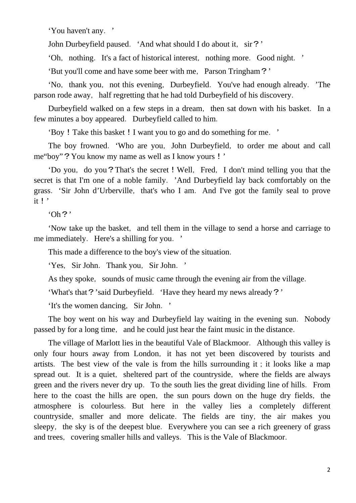'You haven't any.'

John Durbeyfield paused. 'And what should I do about it, sir?'

'Oh, nothing. It's a fact of historical interest, nothing more. Good night.'

'But you'll come and have some beer with me, Parson Tringham?'

'No, thank you, not this evening, Durbeyfield. You've had enough already. 'The parson rode away, half regretting that he had told Durbeyfield of his discovery.

Durbeyfield walked on a few steps in a dream, then sat down with his basket. In a few minutes a boy appeared. Durbeyfield called to him.

'Boy!Take this basket!I want you to go and do something for me.'

The boy frowned. 'Who are you, John Durbeyfield, to order me about and call me"boy"? You know my name as well as I know yours!'

'Do you, do you? That's the secret! Well, Fred, I don't mind telling you that the secret is that I'm one of a noble family. 'And Durbeyfield lay back comfortably on the grass. 'Sir John d'Urberville, that's who I am. And I've got the family seal to prove it!'

 $'Oh ?'$ 

'Now take up the basket, and tell them in the village to send a horse and carriage to me immediately. Here's a shilling for you. '

This made a difference to the boy's view of the situation.

'Yes, Sir John. Thank you, Sir John.'

As they spoke, sounds of music came through the evening air from the village.

'What's that?'said Durbeyfield.'Have they heard my news already?'

'It's the women dancing, Sir John.'

The boy went on his way and Durbeyfield lay waiting in the evening sun. Nobody passed by for a long time, and he could just hear the faint music in the distance.

The village of Marlott lies in the beautiful Vale of Blackmoor. Although this valley is only four hours away from London, it has not yet been discovered by tourists and artists. The best view of the vale is from the hills surrounding it; it looks like a map spread out. It is a quiet, sheltered part of the countryside, where the fields are always green and the rivers never dry up. To the south lies the great dividing line of hills. From here to the coast the hills are open, the sun pours down on the huge dry fields, the atmosphere is colourless.But here in the valley lies a completely different countryside, smaller and more delicate. The fields are tiny, the air makes you sleepy, the sky is of the deepest blue. Everywhere you can see a rich greenery of grass and trees, covering smaller hills and valleys. This is the Vale of Blackmoor.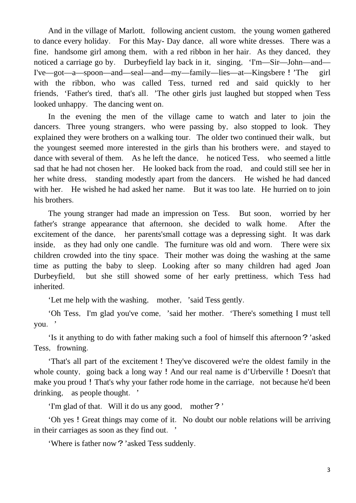And in the village of Marlott, following ancient custom, the young women gathered to dance every holiday. For this May-Day dance, all wore white dresses. There was a fine, handsome girl among them, with a red ribbon in her hair. As they danced, they noticed a carriage go by. Durbeyfield lay back in it, singing, 'I'm—Sir—John—and— I've—got—a—spoon—and—seal—and—my—family—lies—at—Kingsbere!'The girl with the ribbon, who was called Tess, turned red and said quickly to her friends, 'Father's tired, that's all. 'The other girls just laughed but stopped when Tess looked unhappy. The dancing went on.

In the evening the men of the village came to watch and later to join the dancers. Three young strangers, who were passing by, also stopped to look. They explained they were brothers on a walking tour. The older two continued their walk, but the youngest seemed more interested in the girls than his brothers were, and stayed to dance with several of them. As he left the dance, he noticed Tess, who seemed a little sad that he had not chosen her. He looked back from the road, and could still see her in her white dress, standing modestly apart from the dancers. He wished he had danced with her. He wished he had asked her name. But it was too late. He hurried on to join his brothers.

The young stranger had made an impression on Tess. But soon, worried by her father's strange appearance that afternoon, she decided to walk home. After the excitement of the dance, her parents'small cottage was a depressing sight. It was dark inside, as they had only one candle. The furniture was old and worn. There were six children crowded into the tiny space. Their mother was doing the washing at the same time as putting the baby to sleep.Looking after so many children had aged Joan Durbeyfield, but she still showed some of her early prettiness, which Tess had inherited.

'Let me help with the washing, mother, 'said Tess gently.

'Oh Tess,I'm glad you've come,'said her mother.'There's something I must tell you.'

'Is it anything to do with father making such a fool of himself this afternoon?'asked Tess, frowning.

'That's all part of the excitement!They've discovered we're the oldest family in the whole county, going back a long way! And our real name is d'Urberville! Doesn't that make you proud! That's why your father rode home in the carriage, not because he'd been drinking, as people thought. '

'I'm glad of that. Will it do us any good, mother?'

'Oh yes!Great things may come of it.No doubt our noble relations will be arriving in their carriages as soon as they find out. '

'Where is father now?'asked Tess suddenly.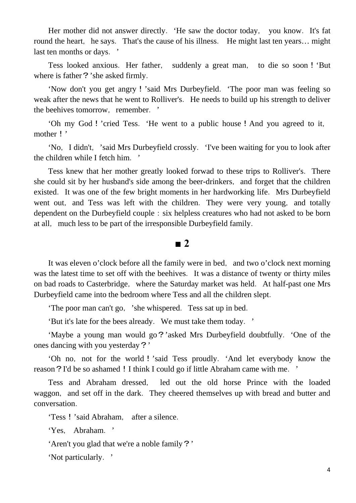Her mother did not answer directly. 'He saw the doctor today, you know. It's fat round the heart, he says. That's the cause of his illness. He might last ten years... might last ten months or days. '

Tess looked anxious.Her father, suddenly a great man, to die so soon!'But where is father?'she asked firmly.

'Now don't you get angry!'said Mrs Durbeyfield.'The poor man was feeling so weak after the news that he went to Rolliver's. He needs to build up his strength to deliver the beehives tomorrow, remember.'

'Oh my God!'cried Tess.'He went to a public house!And you agreed to it, mother!'

'No, I didn't, 'said Mrs Durbeyfield crossly. 'I've been waiting for you to look after the children while I fetch him. '

Tess knew that her mother greatly looked forwad to these trips to Rolliver's. There she could sit by her husband's side among the beer-drinkers, and forget that the children existed. It was one of the few bright moments in her hardworking life. Mrs Durbeyfield went out, and Tess was left with the children. They were very young, and totally dependent on the Durbeyfield couple: six helpless creatures who had not asked to be born at all, much less to be part of the irresponsible Durbeyfield family.

### **■ 2**

It was eleven o'clock before all the family were in bed, and two o'clock next morning was the latest time to set off with the beehives. It was a distance of twenty or thirty miles on bad roads to Casterbridge, where the Saturday market was held. At half-past one Mrs Durbeyfield came into the bedroom where Tess and all the children slept.

The poor man can't go, 'she whispered. Tess sat up in bed.

'But it's late for the bees already. We must take them today.'

'Maybe a young man would go?'asked Mrs Durbeyfield doubtfully.'One of the ones dancing with you yesterday?'

'Oh no, not for the world!'said Tess proudly. 'And let everybody know the reason? I'd be so ashamed! I think I could go if little Abraham came with me. '

Tess and Abraham dressed, led out the old horse Prince with the loaded waggon, and set off in the dark. They cheered themselves up with bread and butter and conversation.

'Tess!'said Abraham, after a silence.

'Yes, Abraham.'

'Aren't you glad that we're a noble family?'

'Not particularly.'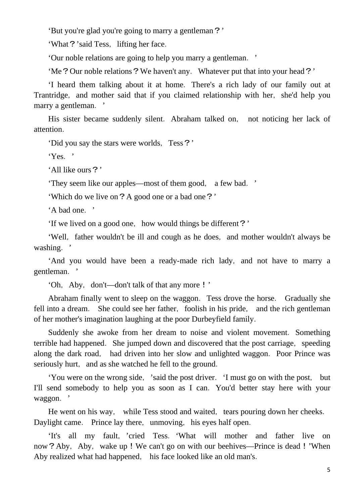'But you're glad you're going to marry a gentleman?'

'What?'said Tess, lifting her face.

'Our noble relations are going to help you marry a gentleman.'

'Me? Our noble relations? We haven't any. Whatever put that into your head?'

'I heard them talking about it at home.There's a rich lady of our family out at Trantridge, and mother said that if you claimed relationship with her, she'd help you marry a gentleman. '

His sister became suddenly silent. Abraham talked on, not noticing her lack of attention.

'Did you say the stars were worlds, Tess?'

'Yes.'

'All like ours?'

'They seem like our apples—most of them good, a few bad.'

'Which do we live on?A good one or a bad one?'

'A bad one. '

'If we lived on a good one, how would things be different?'

'Well, father wouldn't be ill and cough as he does, and mother wouldn't always be washing. '

'And you would have been a ready-made rich lady, and not have to marry a gentleman.'

'Oh, Aby, don't—don't talk of that any more!'

Abraham finally went to sleep on the waggon.Tess drove the horse. Gradually she fell into a dream. She could see her father, foolish in his pride, and the rich gentleman of her mother's imagination laughing at the poor Durbeyfield family.

Suddenly she awoke from her dream to noise and violent movement. Something terrible had happened. She jumped down and discovered that the post carriage, speeding along the dark road, had driven into her slow and unlighted waggon.Poor Prince was seriously hurt, and as she watched he fell to the ground.

'You were on the wrong side,'said the post driver.'I must go on with the post, but I'll send somebody to help you as soon as I can.You'd better stay here with your waggon.'

He went on his way, while Tess stood and waited, tears pouring down her cheeks. Daylight came. Prince lay there, unmoving, his eyes half open.

'It's all my fault,'cried Tess.'What will mother and father live on now? Aby, Aby, wake up! We can't go on with our beehives—Prince is dead! 'When Aby realized what had happened, his face looked like an old man's.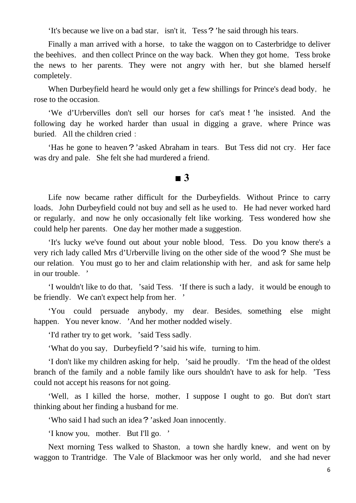'It's because we live on a bad star, isn't it, Tess?'he said through his tears.

Finally a man arrived with a horse, to take the waggon on to Casterbridge to deliver the beehives, and then collect Prince on the way back. When they got home, Tess broke the news to her parents. They were not angry with her, but she blamed herself completely.

When Durbeyfield heard he would only get a few shillings for Prince's dead body, he rose to the occasion.

'We d'Urbervilles don't sell our horses for cat's meat!'he insisted.And the following day he worked harder than usual in digging a grave, where Prince was buried. All the children cried:

'Has he gone to heaven?'asked Abraham in tears. But Tess did not cry. Her face was dry and pale. She felt she had murdered a friend.

### **■ 3**

Life now became rather difficult for the Durbeyfields. Without Prince to carry loads, John Durbeyfield could not buy and sell as he used to. He had never worked hard or regularly, and now he only occasionally felt like working. Tess wondered how she could help her parents. One day her mother made a suggestion.

'It's lucky we've found out about your noble blood,Tess.Do you know there's a very rich lady called Mrs d'Urberville living on the other side of the wood? She must be our relation. You must go to her and claim relationship with her, and ask for same help in our trouble. '

'I wouldn't like to do that, 'said Tess. 'If there is such a lady, it would be enough to be friendly. We can't expect help from her. '

'You could persuade anybody, my dear. Besides, something else might happen. You never know. 'And her mother nodded wisely.

'I'd rather try to get work, 'said Tess sadly.

'What do you say, Durbeyfield?' said his wife, turning to him.

'I don't like my children asking for help, 'said he proudly. 'I'm the head of the oldest branch of the family and a noble family like ours shouldn't have to ask for help.'Tess could not accept his reasons for not going.

'Well, as I killed the horse, mother, I suppose I ought to go. But don't start thinking about her finding a husband for me.

'Who said I had such an idea?'asked Joan innocently.

'I know you, mother. But I'll go. '

Next morning Tess walked to Shaston, a town she hardly knew, and went on by waggon to Trantridge. The Vale of Blackmoor was her only world, and she had never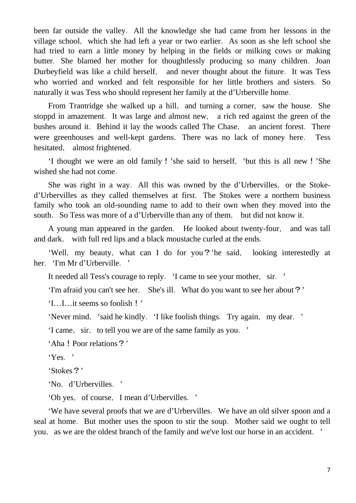been far outside the valley. All the knowledge she had came from her lessons in the village school, which she had left a year or two earlier. As soon as she left school she had tried to earn a little money by helping in the fields or milking cows or making butter. She blamed her mother for thoughtlessly producing so many children. Joan Durbeyfield was like a child herself, and never thought about the future. It was Tess who worried and worked and felt responsible for her little brothers and sisters. So naturally it was Tess who should represent her family at the d'Urberville home.

From Trantridge she walked up a hill, and turning a corner, saw the house. She stoppd in amazement. It was large and almost new, a rich red against the green of the bushes around it. Behind it lay the woods called The Chase, an ancient forest. There were greenhouses and well-kept gardens. There was no lack of money here. Tess hesitated, almost frightened.

'I thought we were an old family!'she said to herself,'but this is all new!'She wished she had not come.

She was right in a way. All this was owned by the d'Urbervilles, or the Stoked'Urbervilles as they called themselves at first.The Stokes were a northern business family who took an old-sounding name to add to their own when they moved into the south. So Tess was more of a d'Urberville than any of them, but did not know it.

A young man appeared in the garden. He looked about twenty-four, and was tall and dark, with full red lips and a black moustache curled at the ends.

'Well,my beauty,what can I do for you?'he said, looking interestedly at her. 'I'm Mr d'Urberville.'

It needed all Tess's courage to reply. 'I came to see your mother, sir.'

'I'm afraid you can't see her. She's ill.What do you want to see her about?'

'I…I…it seems so foolish!'

'Never mind, 'said he kindly. 'I like foolish things. Try again, my dear.'

'I came, sir, to tell you we are of the same family as you.'

'Aha!Poor relations?'

'Yes.'

'Stokes?'

'No. d'Urbervilles. '

'Oh yes, of course, I mean d'Urbervilles.'

'We have several proofs that we are d'Urbervilles. We have an old silver spoon and a seal at home. But mother uses the spoon to stir the soup. Mother said we ought to tell you, as we are the oldest branch of the family and we've lost our horse in an accident.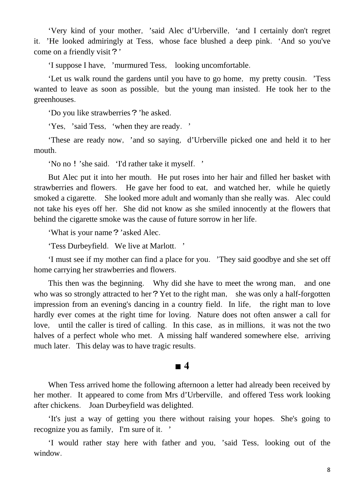'Very kind of your mother,'said Alec d'Urberville,'and I certainly don't regret it. 'He looked admiringly at Tess, whose face blushed a deep pink. 'And so you've come on a friendly visit?'

'I suppose I have,'murmured Tess, looking uncomfortable.

Let us walk round the gardens until you have to go home, my pretty cousin. 'Tess' wanted to leave as soon as possible, but the young man insisted. He took her to the greenhouses.

'Do you like strawberries?'he asked.

'Yes, 'said Tess, 'when they are ready.'

'These are ready now, 'and so saying, d'Urberville picked one and held it to her mouth.

'No no!'she said. 'I'd rather take it myself.'

But Alec put it into her mouth. He put roses into her hair and filled her basket with strawberries and flowers. He gave her food to eat, and watched her, while he quietly smoked a cigarette. She looked more adult and womanly than she really was. Alec could not take his eyes off her. She did not know as she smiled innocently at the flowers that behind the cigarette smoke was the cause of future sorrow in her life.

'What is your name?'asked Alec.

'Tess Durbeyfield. We live at Marlott. '

'I must see if my mother can find a place for you.'They said goodbye and she set off home carrying her strawberries and flowers.

This then was the beginning. Why did she have to meet the wrong man, and one who was so strongly attracted to her? Yet to the right man, she was only a half-forgotten impression from an evening's dancing in a country field. In life, the right man to love hardly ever comes at the right time for loving. Nature does not often answer a call for love, until the caller is tired of calling. In this case, as in millions, it was not the two halves of a perfect whole who met. A missing half wandered somewhere else, arriving much later. This delay was to have tragic results.

#### **■ 4**

When Tess arrived home the following afternoon a letter had already been received by her mother. It appeared to come from Mrs d'Urberville, and offered Tess work looking after chickens. Joan Durbeyfield was delighted.

'It's just a way of getting you there without raising your hopes. She's going to recognize you as family. I'm sure of it. '

'I would rather stay here with father and you,'said Tess,looking out of the window.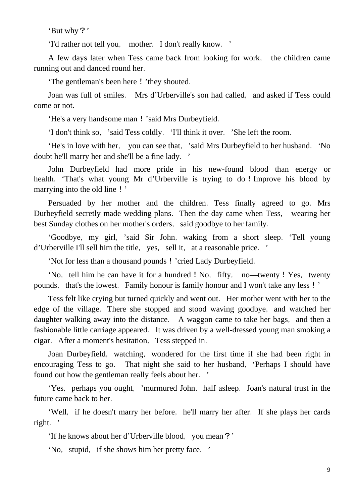'But why?'

'I'd rather not tell you, mother.I don't really know.'

A few days later when Tess came back from looking for work, the children came running out and danced round her.

'The gentleman's been here!'they shouted.

Joan was full of smiles. Mrs d'Urberville's son had called, and asked if Tess could come or not.

'He's a very handsome man!'said Mrs Durbeyfield.

'I don't think so,'said Tess coldly.'I'll think it over.'She left the room.

'He's in love with her, you can see that, 'said Mrs Durbeyfield to her husband. 'No doubt he'll marry her and she'll be a fine lady.'

John Durbeyfield had more pride in his new-found blood than energy or health. 'That's what young Mr d'Urberville is trying to do! Improve his blood by marrying into the old line!'

Persuaded by her mother and the children, Tess finally agreed to go. Mrs Durbeyfield secretly made wedding plans. Then the day came when Tess, wearing her best Sunday clothes on her mother's orders, said goodbye to her family.

'Goodbye, my girl, 'said Sir John, waking from a short sleep. 'Tell young d'Urberville I'll sell him the title, yes, sell it, at a reasonable price.'

'Not for less than a thousand pounds!'cried Lady Durbeyfield.

'No, tell him he can have it for a hundred! No, fifty, no—twenty! Yes, twenty pounds, that's the lowest. Family honour is family honour and I won't take any less!'

Tess felt like crying but turned quickly and went out. Her mother went with her to the edge of the village. There she stopped and stood waving goodbye, and watched her daughter walking away into the distance. A waggon came to take her bags, and then a fashionable little carriage appeared. It was driven by a well-dressed young man smoking a cigar. After a moment's hesitation, Tess stepped in.

Joan Durbeyfield, watching, wondered for the first time if she had been right in encouraging Tess to go. That night she said to her husband,'Perhaps I should have found out how the gentleman really feels about her.'

'Yes, perhaps you ought, 'murmured John, half asleep. Joan's natural trust in the future came back to her.

'Well, if he doesn't marry her before, he'll marry her after. If she plays her cards right. '

'If he knows about her d'Urberville blood, vou mean?'

'No, stupid, if she shows him her pretty face.'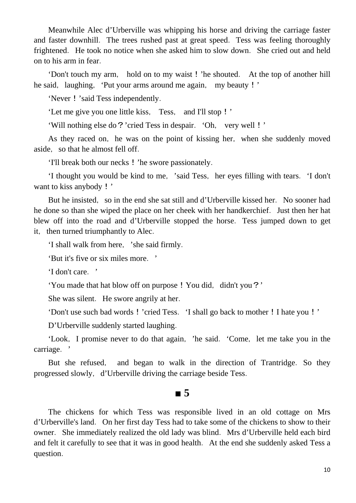Meanwhile Alec d'Urberville was whipping his horse and driving the carriage faster and faster downhill. The trees rushed past at great speed. Tess was feeling thoroughly frightened. He took no notice when she asked him to slow down. She cried out and held on to his arm in fear.

'Don't touch my arm, hold on to my waist!'he shouted. At the top of another hill he said, laughing, 'Put your arms around me again, my beauty!'

'Never!' said Tess independently.

'Let me give you one little kiss, Tess, and I'll stop!'

'Will nothing else do?'cried Tess in despair. 'Oh, very well!'

As they raced on, he was on the point of kissing her, when she suddenly moved aside, so that he almost fell off.

'I'll break both our necks!'he swore passionately.

'I thought you would be kind to me, 'said Tess, her eyes filling with tears. 'I don't want to kiss anybody ! '

But he insisted, so in the end she sat still and d'Urberville kissed her. No sooner had he done so than she wiped the place on her cheek with her handkerchief. Just then her hat blew off into the road and d'Urberville stopped the horse. Tess jumped down to get it. then turned triumphantly to Alec.

'I shall walk from here, 'she said firmly.

'But it's five or six miles more.'

'I don't care. '

'You made that hat blow off on purpose! You did, didn't you?'

She was silent. He swore angrily at her.

'Don't use such bad words!'cried Tess.'I shall go back to mother!I hate you!'

D'Urberville suddenly started laughing.

'Look, I promise never to do that again, 'he said. 'Come, let me take you in the carriage. '

But she refused, and began to walk in the direction of Trantridge. So they progressed slowly, d'Urberville driving the carriage beside Tess.

### **■ 5**

The chickens for which Tess was responsible lived in an old cottage on Mrs d'Urberville's land. On her first day Tess had to take some of the chickens to show to their owner. She immediately realized the old lady was blind. Mrs d'Urberville held each bird and felt it carefully to see that it was in good health. At the end she suddenly asked Tess a question.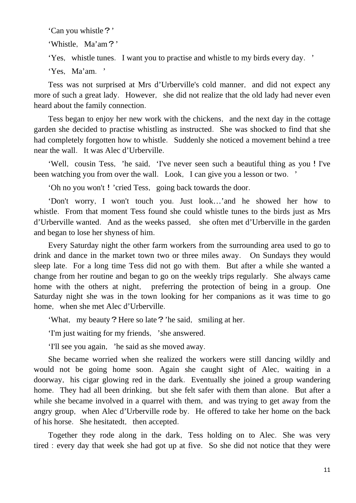'Can you whistle?'

'Whistle, Ma'am?'

'Yes, whistle tunes. I want you to practise and whistle to my birds every day.'

'Yes. Ma'am. '

Tess was not surprised at Mrs d'Urberville's cold manner, and did not expect any more of such a great lady. However, she did not realize that the old lady had never even heard about the family connection.

Tess began to enjoy her new work with the chickens, and the next day in the cottage garden she decided to practise whistling as instructed. She was shocked to find that she had completely forgotten how to whistle. Suddenly she noticed a movement behind a tree near the wall. It was Alec d'Urberville.

'Well, cousin Tess, 'he said, 'I've never seen such a beautiful thing as you! I've been watching you from over the wall. Look, I can give you a lesson or two. '

'Oh no you won't!' cried Tess, going back towards the door.

'Don't worry,I won't touch you.Just look…'and he showed her how to whistle. From that moment Tess found she could whistle tunes to the birds just as Mrs d'Urberville wanted. And as the weeks passed, she often met d'Urberville in the garden and began to lose her shyness of him.

Every Saturday night the other farm workers from the surrounding area used to go to drink and dance in the market town two or three miles away. On Sundays they would sleep late. For a long time Tess did not go with them. But after a while she wanted a change from her routine and began to go on the weekly trips regularly. She always came home with the others at night, preferring the protection of being in a group. One Saturday night she was in the town looking for her companions as it was time to go home, when she met Alec d'Urberville.

'What, my beauty? Here so late?'he said, smiling at her.

'I'm just waiting for my friends, 'she answered.

'I'll see you again,'he said as she moved away.

She became worried when she realized the workers were still dancing wildly and would not be going home soon. Again she caught sight of Alec, waiting in a doorway, his cigar glowing red in the dark. Eventually she joined a group wandering home. They had all been drinking, but she felt safer with them than alone. But after a while she became involved in a quarrel with them, and was trying to get away from the angry group, when Alec d'Urberville rode by. He offered to take her home on the back of his horse. She hesitatedt, then accepted.

Together they rode along in the dark, Tess holding on to Alec. She was very tired: every day that week she had got up at five. So she did not notice that they were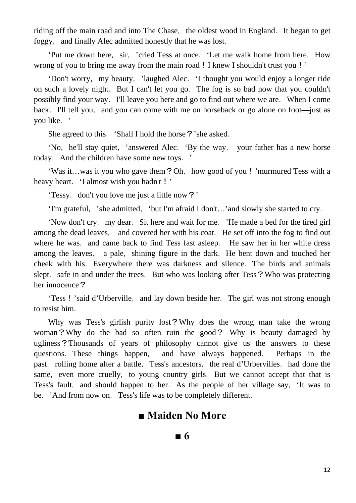riding off the main road and into The Chase, the oldest wood in England. It began to get foggy, and finally Alec admitted honestly that he was lost.

'Put me down here, sir, 'cried Tess at once. 'Let me walk home from here. How wrong of you to bring me away from the main road ! I knew I shouldn't trust you!'

'Don't worry,my beauty,'laughed Alec.'I thought you would enjoy a longer ride on such a lovely night. But I can't let you go. The fog is so bad now that you couldn't possibly find your way. I'll leave you here and go to find out where we are. When I come back, I'll tell you, and you can come with me on horseback or go alone on foot—just as you like.'

She agreed to this. 'Shall I hold the horse?'she asked.

'No, he'll stay quiet, 'answered Alec. 'By the way, your father has a new horse today. And the children have some new toys. '

'Was it…was it you who gave them? Oh, how good of you!'murmured Tess with a heavy heart. 'I almost wish you hadn't!'

'Tessy, don't you love me just a little now?'

'I'm grateful, 'she admitted, 'but I'm afraid I don't…' and slowly she started to cry.

'Now don't cry, my dear. Sit here and wait for me. 'He made a bed for the tired girl among the dead leaves, and covered her with his coat. He set off into the fog to find out where he was, and came back to find Tess fast asleep. He saw her in her white dress among the leaves, a pale, shining figure in the dark. He bent down and touched her cheek with his.Everywhere there was darkness and silence.The birds and animals slept, safe in and under the trees. But who was looking after Tess? Who was protecting her innocence?

'Tess!'said d'Urberville, and lay down beside her. The girl was not strong enough to resist him.

Why was Tess's girlish purity lost? Why does the wrong man take the wrong woman?Why do the bad so often ruin the good? Why is beauty damaged by ugliness?Thousands of years of philosophy cannot give us the answers to these questions.These things happen, and have always happened. Perhaps in the past, rolling home after a battle, Tess's ancestors, the real d'Urbervilles, had done the same, even more cruelly, to young country girls. But we cannot accept that that is Tess's fault, and should happen to her. As the people of her village say, 'It was to be. 'And from now on, Tess's life was to be completely different.

# **■ Maiden No More**

**■ 6**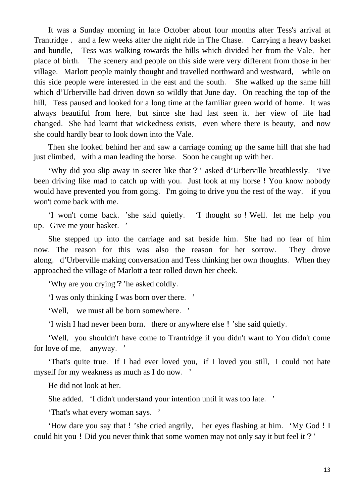It was a Sunday morning in late October about four months after Tess's arrival at Trantridge, and a few weeks after the night ride in The Chase. Carrying a heavy basket and bundle. Tess was walking towards the hills which divided her from the Vale, her place of birth. The scenery and people on this side were very different from those in her village. Marlott people mainly thought and travelled northward and westward, while on this side people were interested in the east and the south. She walked up the same hill which d'Urberville had driven down so wildly that June day. On reaching the top of the hill, Tess paused and looked for a long time at the familiar green world of home. It was always beautiful from here, but since she had last seen it, her view of life had changed. She had learnt that wickedness exists, even where there is beauty, and now she could hardly bear to look down into the Vale.

Then she looked behind her and saw a carriage coming up the same hill that she had just climbed, with a man leading the horse. Soon he caught up with her.

'Why did you slip away in secret like that?' asked d'Urberville breathlessly.'I've been driving like mad to catch up with you. Just look at my horse! You know nobody would have prevented you from going. I'm going to drive you the rest of the way, if you won't come back with me.

'I won't come back, 'she said quietly. 'I thought so! Well, let me help you up. Give me your basket.

She stepped up into the carriage and sat beside him. She had no fear of him now.The reason for this was also the reason for her sorrow. They drove along, d'Urberville making conversation and Tess thinking her own thoughts. When they approached the village of Marlott a tear rolled down her cheek.

'Why are you crying?'he asked coldly.

'I was only thinking I was born over there.'

'Well. we must all be born somewhere. '

'I wish I had never been born, there or anywhere else! 'she said quietly.

'Well, you shouldn't have come to Trantridge if you didn't want to You didn't come for love of me, anyway.'

'That's quite true. If I had ever loved you, if I loved you still, I could not hate myself for my weakness as much as I do now. '

He did not look at her.

She added, 'I didn't understand your intention until it was too late. '

'That's what every woman says.'

'How dare you say that ! 'she cried angrily, her eyes flashing at him. 'My God ! I could hit you! Did you never think that some women may not only say it but feel it?'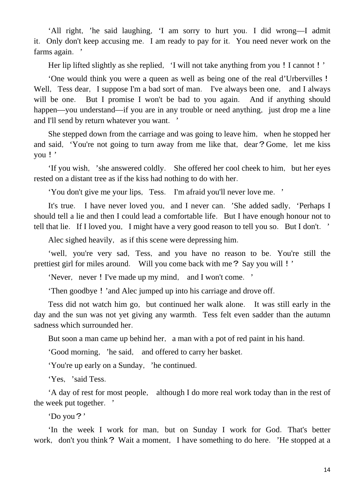'All right,'he said laughing,'I am sorry to hurt you.I did wrong—I admit it. Only don't keep accusing me. I am ready to pay for it. You need never work on the farms again. '

Her lip lifted slightly as she replied, 'I will not take anything from you! I cannot!'

'One would think you were a queen as well as being one of the real d'Urbervilles! Well, Tess dear, I suppose I'm a bad sort of man. I've always been one, and I always will be one. But I promise I won't be bad to you again. And if anything should happen—you understand—if you are in any trouble or need anything, just drop me a line and I'll send by return whatever you want.

She stepped down from the carriage and was going to leave him, when he stopped her and said, 'You're not going to turn away from me like that, dear?Gome, let me kiss you!'

'If you wish, 'she answered coldly. She offered her cool cheek to him, but her eyes rested on a distant tree as if the kiss had nothing to do with her.

'You don't give me your lips, Tess. I'm afraid you'll never love me.'

It's true. I have never loved you, and I never can. 'She added sadly, 'Perhaps I should tell a lie and then I could lead a comfortable life. But I have enough honour not to tell that lie. If I loved you, I might have a very good reason to tell you so. But I don't. '

Alec sighed heavily, as if this scene were depressing him.

'well, you're very sad, Tess, and you have no reason to be. You're still the prettiest girl for miles around. Will you come back with me? Say you will!'

'Never, never! I've made up my mind, and I won't come. '

'Then goodbye!'and Alec jumped up into his carriage and drove off.

Tess did not watch him go, but continued her walk alone. It was still early in the day and the sun was not yet giving any warmth. Tess felt even sadder than the autumn sadness which surrounded her.

But soon a man came up behind her, a man with a pot of red paint in his hand.

'Good morning,'he said, and offered to carry her basket.

'You're up early on a Sunday,'he continued.

'Yes, 'said Tess.

'A day of rest for most people, although I do more real work today than in the rest of the week put together.  $\cdot$ 

'Do you?'

'In the week I work for man, but on Sunday I work for God. That's better work, don't you think? Wait a moment, I have something to do here. 'He stopped at a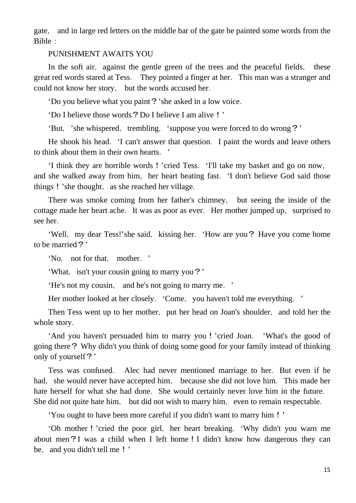gate, and in large red letters on the middle bar of the gate he painted some words from the Bible:

#### PUNISHMENT AWAITS YOU

In the soft air, against the gentle green of the trees and the peaceful fields, these great red words stared at Tess. They pointed a finger at her.This man was a stranger and could not know her story, but the words accused her.

'Do you believe what you paint?'she asked in a low voice.

'Do I believe those words?Do I believe I am alive!'

'But, 'she whispered, trembling, 'suppose you were forced to do wrong?'

He shook his head. 'I can't answer that question. I paint the words and leave others to think about them in their own hearts. '

'I think they are horrible words!'cried Tess.'I'll take my basket and go on now, and she walked away from him, her heart beating fast. 'I don't believe God said those things! 'she thought, as she reached her village.

There was smoke coming from her father's chimney, but seeing the inside of the cottage made her heart ache. It was as poor as ever. Her mother jumped up, surprised to see her.

'Well, my dear Tess!'she said, kissing her. 'How are you? Have you come home to be married?'

'No, not for that, mother.'

'What, isn't your cousin going to marry you?'

'He's not my cousin, and he's not going to marry me.'

Her mother looked at her closely. 'Come, you haven't told me everything.'

Then Tess went up to her mother, put her head on Joan's shoulder, and told her the whole story.

'And you haven't persuaded him to marry you!'cried Joan. 'What's the good of going there? Why didn't you think of doing some good for your family instead of thinking only of yourself?'

Tess was confused. Alec had never mentioned marriage to her. But even if he had, she would never have accepted him, because she did not love him. This made her hate herself for what she had done. She would certainly never love him in the future. She did not quite hate him, but did not wish to marry him, even to remain respectable.

'You ought to have been more careful if you didn't want to marry him!'

'Oh mother!'cried the poor girl,her heart breaking.'Why didn't you warn me about men?I was a child when I left home!I didn't know how dangerous they can be, and you didn't tell me!'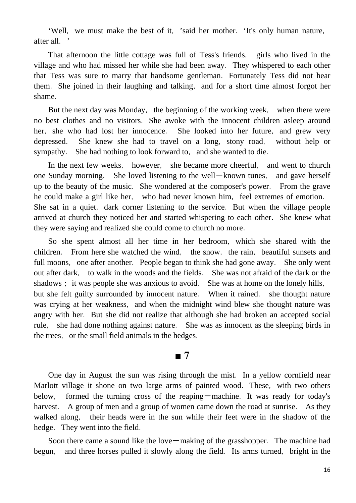'Well, we must make the best of it, 'said her mother. 'It's only human nature, after all. '

That afternoon the little cottage was full of Tess's friends, girls who lived in the village and who had missed her while she had been away.They whispered to each other that Tess was sure to marry that handsome gentleman. Fortunately Tess did not hear them. She joined in their laughing and talking, and for a short time almost forgot her shame.

But the next day was Monday, the beginning of the working week, when there were no best clothes and no visitors. She awoke with the innocent children asleep around her, she who had lost her innocence. She looked into her future, and grew very depressed. She knew she had to travel on a long, stony road, without help or sympathy. She had nothing to look forward to, and she wanted to die.

In the next few weeks, however, she became more cheerful, and went to church one Sunday morning. She loved listening to the well-known tunes, and gave herself up to the beauty of the music. She wondered at the composer's power. From the grave he could make a girl like her, who had never known him, feel extremes of emotion. She sat in a quiet, dark corner listening to the service. But when the village people arrived at church they noticed her and started whispering to each other. She knew what they were saying and realized she could come to church no more.

So she spent almost all her time in her bedroom, which she shared with the children. From here she watched the wind, the snow, the rain, beautiful sunsets and full moons, one after another. People began to think she had gone away. She only went out after dark, to walk in the woods and the fields. She was not afraid of the dark or the shadows; it was people she was anxious to avoid. She was at home on the lonely hills, but she felt guilty surrounded by innocent nature. When it rained, she thought nature was crying at her weakness, and when the midnight wind blew she thought nature was angry with her. But she did not realize that although she had broken an accepted social rule, she had done nothing against nature. She was as innocent as the sleeping birds in the trees, or the small field animals in the hedges.

#### **■ 7**

One day in August the sun was rising through the mist. In a yellow cornfield near Marlott village it shone on two large arms of painted wood. These, with two others below, formed the turning cross of the reaping-machine. It was ready for today's harvest. A group of men and a group of women came down the road at sunrise. As they walked along, their heads were in the sun while their feet were in the shadow of the hedge. They went into the field.

Soon there came a sound like the love $-making$  of the grasshopper. The machine had begun, and three horses pulled it slowly along the field. Its arms turned, bright in the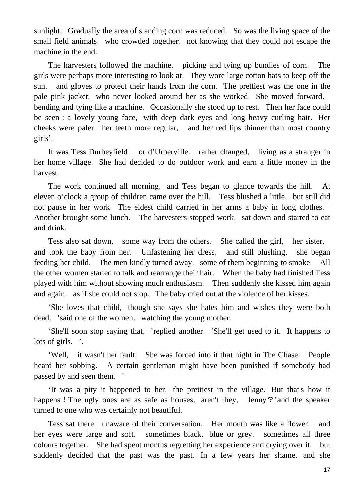sunlight. Gradually the area of standing corn was reduced. So was the living space of the small field animals, who crowded together, not knowing that they could not escape the machine in the end.

The harvesters followed the machine, picking and tying up bundles of corn. The girls were perhaps more interesting to look at.They wore large cotton hats to keep off the sun, and gloves to protect their hands from the corn. The prettiest was the one in the pale pink jacket, who never looked around her as she worked. She moved forward, bending and tying like a machine. Occasionally she stood up to rest. Then her face could be seen: a lovely young face, with deep dark eyes and long heavy curling hair. Her cheeks were paler, her teeth more regular, and her red lips thinner than most country girls'.

It was Tess Durbeyfield, or d'Urberville, rather changed, living as a stranger in her home village. She had decided to do outdoor work and earn a little money in the harvest.

The work continued all morning, and Tess began to glance towards the hill. At eleven o'clock a group of children came over the hill. Tess blushed a little, but still did not pause in her work. The eldest child carried in her arms a baby in long clothes. Another brought some lunch. The harvesters stopped work, sat down and started to eat and drink.

Tess also sat down, some way from the others. She called the girl, her sister, and took the baby from her. Unfastening her dress, and still blushing, she began feeding her child. The men kindly turned away, some of them beginning to smoke. All the other women started to talk and rearrange their hair. When the baby had finished Tess played with him without showing much enthusiasm. Then suddenly she kissed him again and again, as if she could not stop. The baby cried out at the violence of her kisses.

'She loves that child, though she says she hates him and wishes they were both dead, 'said one of the women, watching the young mother.

'She'll soon stop saying that,'replied another.'She'll get used to it.It happens to lots of girls.  $\cdot$ .

'Well, it wasn't her fault. She was forced into it that night in The Chase. People heard her sobbing. A certain gentleman might have been punished if somebody had passed by and seen them.  $\cdot$ 

'It was a pity it happened to her, the prettiest in the village. But that's how it happens! The ugly ones are as safe as houses, aren't they, Jenny?'and the speaker turned to one who was certainly not beautiful.

Tess sat there, unaware of their conversation. Her mouth was like a flower, and her eyes were large and soft, sometimes black, blue or grey, sometimes all three colours together. She had spent months regretting her experience and crying over it, but suddenly decided that the past was the past. In a few years her shame, and she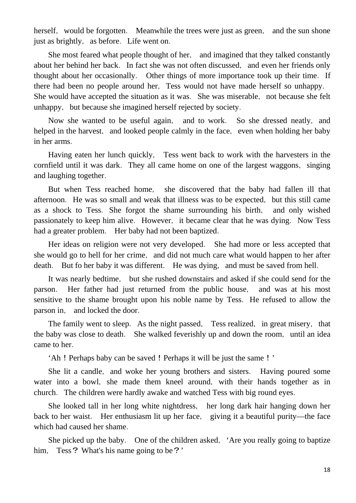herself, would be forgotten. Meanwhile the trees were just as green, and the sun shone just as brightly, as before. Life went on.

She most feared what people thought of her, and imagined that they talked constantly about her behind her back. In fact she was not often discussed, and even her friends only thought about her occasionally. Other things of more importance took up their time. If there had been no people around her, Tess would not have made herself so unhappy. She would have accepted the situation as it was. She was miserable, not because she felt unhappy, but because she imagined herself rejected by society.

Now she wanted to be useful again, and to work. So she dressed neatly, and helped in the harvest, and looked people calmly in the face, even when holding her baby in her arms.

Having eaten her lunch quickly, Tess went back to work with the harvesters in the cornfield until it was dark. They all came home on one of the largest waggons, singing and laughing together.

But when Tess reached home, she discovered that the baby had fallen ill that afternoon. He was so small and weak that illness was to be expected, but this still came as a shock to Tess. She forgot the shame surrounding his birth, and only wished passionately to keep him alive. However, it became clear that he was dying. Now Tess had a greater problem. Her baby had not been baptized.

Her ideas on religion were not very developed. She had more or less accepted that she would go to hell for her crime, and did not much care what would happen to her after death. But fo her baby it was different. He was dying, and must be saved from hell.

It was nearly bedtime, but she rushed downstairs and asked if she could send for the parson. Her father had just returned from the public house, and was at his most sensitive to the shame brought upon his noble name by Tess. He refused to allow the parson in, and locked the door.

The family went to sleep. As the night passed, Tess realized, in great misery, that the baby was close to death. She walked feverishly up and down the room, until an idea came to her.

'Ah!Perhaps baby can be saved!Perhaps it will be just the same!'

She lit a candle, and woke her young brothers and sisters. Having poured some water into a bowl, she made them kneel around, with their hands together as in church. The children were hardly awake and watched Tess with big round eyes.

She looked tall in her long white nightdress, her long dark hair hanging down her back to her waist. Her enthusiasm lit up her face, giving it a beautiful purity—the face which had caused her shame.

She picked up the baby. One of the children asked, 'Are you really going to baptize him, Tess? What's his name going to be?'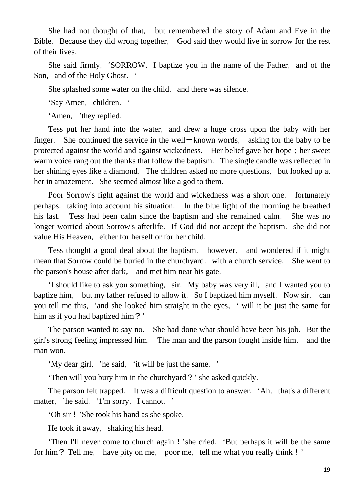She had not thought of that, but remembered the story of Adam and Eve in the Bible. Because they did wrong together, God said they would live in sorrow for the rest of their lives.

She said firmly, 'SORROW, I baptize you in the name of the Father, and of the Son, and of the Holy Ghost. '

She splashed some water on the child, and there was silence.

'Say Amen, children.'

'Amen, 'they replied.

Tess put her hand into the water, and drew a huge cross upon the baby with her finger. She continued the service in the well-known words, asking for the baby to be protected against the world and against wickedness. Her belief gave her hope; her sweet warm voice rang out the thanks that follow the baptism. The single candle was reflected in her shining eyes like a diamond. The children asked no more questions, but looked up at her in amazement. She seemed almost like a god to them.

Poor Sorrow's fight against the world and wickedness was a short one, fortunately perhaps, taking into account his situation. In the blue light of the morning he breathed his last. Tess had been calm since the baptism and she remained calm. She was no longer worried about Sorrow's afterlife. If God did not accept the baptism, she did not value His Heaven, either for herself or for her child.

Tess thought a good deal about the baptism, however, and wondered if it might mean that Sorrow could be buried in the churchyard, with a church service. She went to the parson's house after dark, and met him near his gate.

'I should like to ask you something, sir. My baby was very ill, and I wanted you to baptize him, but my father refused to allow it. So I baptized him myself. Now sir, can you tell me this, 'and she looked him straight in the eyes, ' will it be just the same for him as if you had baptized him?'

The parson wanted to say no. She had done what should have been his job. But the girl's strong feeling impressed him. The man and the parson fought inside him, and the man won.

'My dear girl, 'he said, 'it will be just the same.'

'Then will you bury him in the churchyard?' she asked quickly.

The parson felt trapped. It was a difficult question to answer. 'Ah, that's a different matter, 'he said. '1'm sorry, I cannot.'

'Oh sir!'She took his hand as she spoke.

He took it away, shaking his head.

'Then I'll never come to church again!'she cried.'But perhaps it will be the same for him? Tell me, have pity on me, poor me, tell me what you really think!'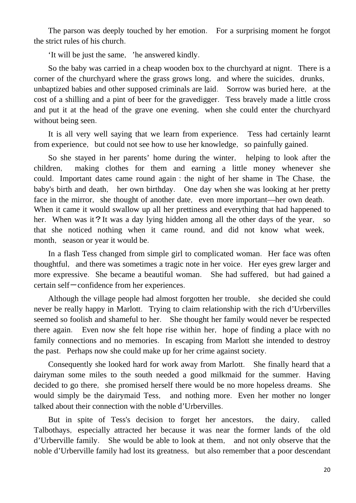The parson was deeply touched by her emotion. For a surprising moment he forgot the strict rules of his church.

'It will be just the same, 'he answered kindly.

So the baby was carried in a cheap wooden box to the churchyard at nignt. There is a corner of the churchyard where the grass grows long, and where the suicides, drunks, unbaptized babies and other supposed criminals are laid. Sorrow was buried here, at the cost of a shilling and a pint of beer for the gravedigger.Tess bravely made a little cross and put it at the head of the grave one evening, when she could enter the churchyard without being seen.

It is all very well saying that we learn from experience. Tess had certainly learnt from experience, but could not see how to use her knowledge, so painfully gained.

So she stayed in her parents' home during the winter, helping to look after the children, making clothes for them and earning a little money whenever she could. Important dates came round again: the night of her shame in The Chase, the baby's birth and death, her own birthday. One day when she was looking at her pretty face in the mirror, she thought of another date, even more important—her own death. When it came it would swallow up all her prettiness and everything that had happened to her. When was it? It was a day lying hidden among all the other days of the year, so that she noticed nothing when it came round, and did not know what week, month, season or year it would be.

In a flash Tess changed from simple girl to complicated woman. Her face was often thoughtful, and there was sometimes a tragic note in her voice. Her eyes grew larger and more expressive. She became a beautiful woman. She had suffered, but had gained a certain self-confidence from her experiences.

Although the village people had almost forgotten her trouble, she decided she could never be really happy in Marlott. Trying to claim relationship with the rich d'Urbervilles seemed so foolish and shameful to her. She thought her family would never be respected there again. Even now she felt hope rise within her, hope of finding a place with no family connections and no memories. In escaping from Marlott she intended to destroy the past. Perhaps now she could make up for her crime against society.

Consequently she looked hard for work away from Marlott. She finally heard that a dairyman some miles to the south needed a good milkmaid for the summer. Having decided to go there, she promised herself there would be no more hopeless dreams. She would simply be the dairymaid Tess, and nothing more. Even her mother no longer talked about their connection with the noble d'Urbervilles.

But in spite of Tess's decision to forget her ancestors, the dairy, called Talbothays, especially attracted her because it was near the former lands of the old d'Urberville family. She would be able to look at them, and not only observe that the noble d'Urberville family had lost its greatness, but also remember that a poor descendant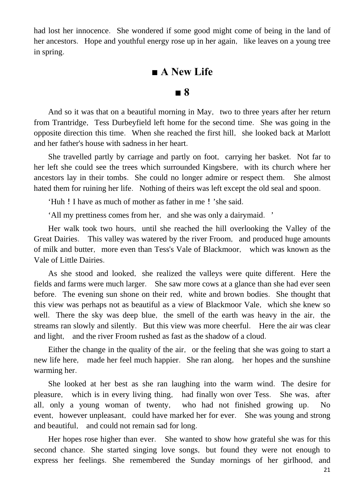had lost her innocence. She wondered if some good might come of being in the land of her ancestors. Hope and youthful energy rose up in her again, like leaves on a young tree in spring.

# ■ **A** New Life

#### **■ 8**

And so it was that on a beautiful morning in May, two to three years after her return from Trantridge, Tess Durbeyfield left home for the second time. She was going in the opposite direction this time. When she reached the first hill, she looked back at Marlott and her father's house with sadness in her heart.

She travelled partly by carriage and partly on foot, carrying her basket. Not far to her left she could see the trees which surrounded Kingsbere, with its church where her ancestors lay in their tombs. She could no longer admire or respect them. She almost hated them for ruining her life. Nothing of theirs was left except the old seal and spoon.

'Huh! I have as much of mother as father in me!'she said.

'All my prettiness comes from her, and she was only a dairymaid.'

Her walk took two hours, until she reached the hill overlooking the Valley of the Great Dairies. This valley was watered by the river Froom, and produced huge amounts of milk and butter, more even than Tess's Vale of Blackmoor, which was known as the Vale of Little Dairies.

As she stood and looked, she realized the valleys were quite different. Here the fields and farms were much larger. She saw more cows at a glance than she had ever seen before. The evening sun shone on their red, white and brown bodies. She thought that this view was perhaps not as beautiful as a view of Blackmoor Vale, which she knew so well. There the sky was deep blue, the smell of the earth was heavy in the air, the streams ran slowly and silently. But this view was more cheerful. Here the air was clear and light, and the river Froom rushed as fast as the shadow of a cloud.

Either the change in the quality of the air, or the feeling that she was going to start a new life here, made her feel much happier. She ran along, her hopes and the sunshine warming her.

She looked at her best as she ran laughing into the warm wind. The desire for pleasure, which is in every living thing, had finally won over Tess. She was, after all, only a young woman of twenty, who had not finished growing up. No event, however unpleasant, could have marked her for ever. She was young and strong and beautiful, and could not remain sad for long.

Her hopes rose higher than ever. She wanted to show how grateful she was for this second chance. She started singing love songs, but found they were not enough to express her feelings. She remembered the Sunday mornings of her girlhood, and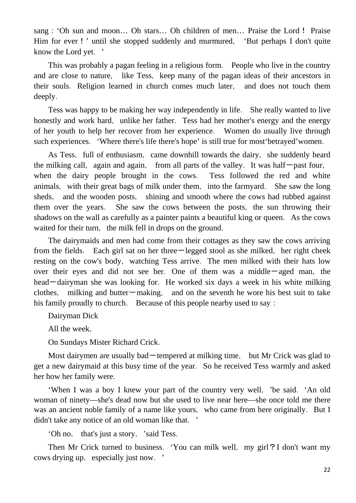sang: 'Oh sun and moon... Oh stars... Oh children of men... Praise the Lord! Praise Him for ever! 'until she stopped suddenly and murmured, 'But perhaps I don't quite know the Lord yet.  $'$ 

This was probably a pagan feeling in a religious form. People who live in the country and are close to nature, like Tess, keep many of the pagan ideas of their ancestors in their souls. Religion learned in church comes much later, and does not touch them deeply.

Tess was happy to be making her way independently in life. She really wanted to live honestly and work hard, unlike her father. Tess had her mother's energy and the energy of her youth to help her recover from her experience. Women do usually live through such experiences. 'Where there's life there's hope' is still true for most'betrayed'women.

As Tess, full of enthusiasm, came downhill towards the dairy, she suddenly heard the milking call, again and again, from all parts of the valley. It was half-past four, when the dairy people brought in the cows. Tess followed the red and white animals, with their great bags of milk under them, into the farmyard. She saw the long sheds, and the wooden posts, shining and smooth where the cows had rubbed against them over the years. She saw the cows between the posts, the sun throwing their shadows on the wall as carefully as a painter paints a beautiful king or queen. As the cows waited for their turn, the milk fell in drops on the ground.

The dairymaids and men had come from their cottages as they saw the cows arriving from the fields. Each girl sat on her three  $-\log$  ged stool as she milked, her right cheek resting on the cow's body, watching Tess arrive. The men milked with their hats low over their eyes and did not see her. One of them was a middle $-$ aged man, the head-dairyman she was looking for. He worked six days a week in his white milking clothes, milking and butter-making, and on the seventh he wore his best suit to take his family proudly to church. Because of this people nearby used to say:

Dairyman Dick

All the week,

On Sundays Mister Richard Crick.

Most dairymen are usually bad — tempered at milking time, but Mr Crick was glad to get a new dairymaid at this busy time of the year. So he received Tess warmly and asked her how her family were.

'When I was a boy I knew your part of the country very well,'be said.'An old woman of ninety—she's dead now but she used to live near here—she once told me there was an ancient noble family of a name like yours, who came from here originally. But I didn't take any notice of an old woman like that.

'Oh no, that's just a story, 'said Tess.

Then Mr Crick turned to business. 'You can milk well, my girl?I don't want my cows drying up, especially just now. '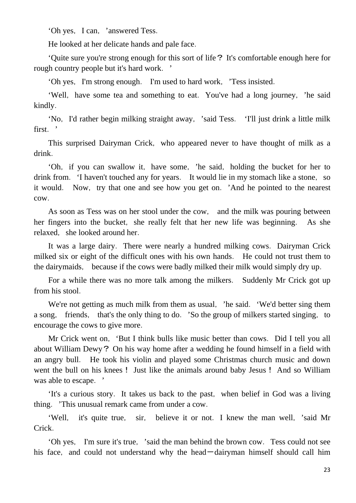'Oh yes, I can, 'answered Tess.

He looked at her delicate hands and pale face.

'Quite sure you're strong enough for this sort of life? It's comfortable enough here for rough country people but it's hard work. '

'Oh yes, I'm strong enough. I'm used to hard work, 'Tess insisted.

'Well, have some tea and something to eat. You've had a long journey, 'he said kindly.

'No, I'd rather begin milking straight away, 'said Tess. 'I'll just drink a little milk first. '

This surprised Dairyman Crick, who appeared never to have thought of milk as a drink.

'Oh, if you can swallow it, have some, 'he said, holding the bucket for her to drink from. 'I haven't touched any for years. It would lie in my stomach like a stone, so it would. Now, try that one and see how you get on. 'And he pointed to the nearest cow.

As soon as Tess was on her stool under the cow, and the milk was pouring between her fingers into the bucket, she really felt that her new life was beginning. As she relaxed, she looked around her.

It was a large dairy. There were nearly a hundred milking cows. Dairyman Crick milked six or eight of the difficult ones with his own hands. He could not trust them to the dairymaids, because if the cows were badly milked their milk would simply dry up.

For a while there was no more talk among the milkers. Suddenly Mr Crick got up from his stool.

We're not getting as much milk from them as usual, 'he said. 'We'd better sing them a song, friends, that's the only thing to do. 'So the group of milkers started singing, to encourage the cows to give more.

Mr Crick went on, 'But I think bulls like music better than cows. Did I tell you all about William Dewy? On his way home after a wedding he found himself in a field with an angry bull. He took his violin and played some Christmas church music and down went the bull on his knees! Just like the animals around baby Jesus! And so William was able to escape.  $\cdot$ 

'It's a curious story. It takes us back to the past, when belief in God was a living thing.'This unusual remark came from under a cow.

'Well, it's quite true, sir, believe it or not. I knew the man well, 'said Mr Crick.

'Oh yes, I'm sure it's true,'said the man behind the brown cow.Tess could not see his face, and could not understand why the head-dairyman himself should call him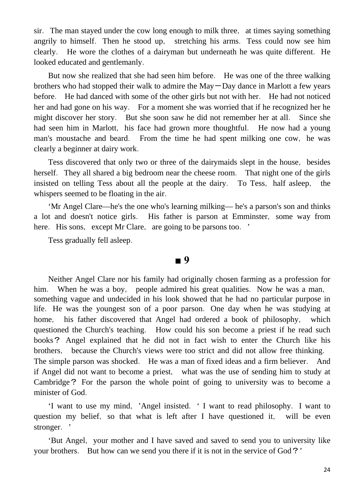sir. The man stayed under the cow long enough to milk three, at times saying something angrily to himself. Then he stood up, stretching his arms. Tess could now see him clearly. He wore the clothes of a dairyman but underneath he was quite different. He looked educated and gentlemanly.

But now she realized that she had seen him before. He was one of the three walking brothers who had stopped their walk to admire the May-Day dance in Marlott a few years before. He had danced with some of the other girls but not with her. He had not noticed her and had gone on his way. For a moment she was worried that if he recognized her he might discover her story. But she soon saw he did not remember her at all. Since she had seen him in Marlott, his face had grown more thoughtful. He now had a young man's moustache and beard. From the time he had spent milking one cow, he was clearly a beginner at dairy work.

Tess discovered that only two or three of the dairymaids slept in the house, besides herself. They all shared a big bedroom near the cheese room. That night one of the girls insisted on telling Tess about all the people at the dairy. To Tess, half asleep, the whispers seemed to be floating in the air.

'Mr Angel Clare—he's the one who's learning milking— he's a parson's son and thinks a lot and doesn't notice girls. His father is parson at Emminster, some way from here. His sons, except Mr Clare, are going to be parsons too.'

Tess gradually fell asleep.

### **■ 9**

Neither Angel Clare nor his family had originally chosen farming as a profession for him. When he was a boy, people admired his great qualities. Now he was a man, something vague and undecided in his look showed that he had no particular purpose in life. He was the youngest son of a poor parson. One day when he was studying at home, his father discovered that Angel had ordered a book of philosophy, which questioned the Church's teaching. How could his son become a priest if he read such books? Angel explained that he did not in fact wish to enter the Church like his brothers, because the Church's views were too strict and did not allow free thinking. The simple parson was shocked. He was a man of fixed ideas and a firm believer. And if Angel did not want to become a priest, what was the use of sending him to study at Cambridge? For the parson the whole point of going to university was to become a minister of God.

'I want to use my mind,'Angel insisted.' I want to read philosophy.I want to question my belief, so that what is left after I have questioned it, will be even stronger. '

'But Angel, your mother and I have saved and saved to send you to university like your brothers. But how can we send you there if it is not in the service of God?'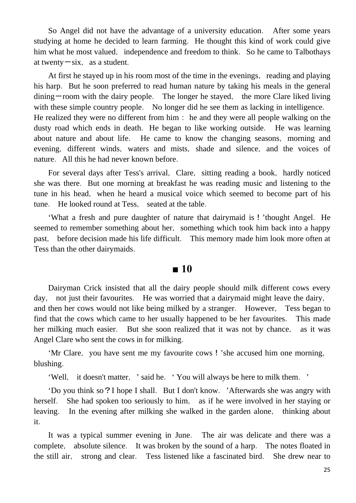So Angel did not have the advantage of a university education. After some years studying at home he decided to learn farming. He thought this kind of work could give him what he most valued, independence and freedom to think. So he came to Talbothays at twenty  $-\text{s}$ ix, as a student.

At first he stayed up in his room most of the time in the evenings, reading and playing his harp. But he soon preferred to read human nature by taking his meals in the general  $dining$ -room with the dairy people. The longer he stayed, the more Clare liked living with these simple country people. No longer did he see them as lacking in intelligence. He realized they were no different from him: he and they were all people walking on the dusty road which ends in death. He began to like working outside. He was learning about nature and about life. He came to know the changing seasons, morning and evening, different winds, waters and mists, shade and silence, and the voices of nature. All this he had never known before.

For several days after Tess's arrival, Clare, sitting reading a book, hardly noticed she was there. But one morning at breakfast he was reading music and listening to the tune in his head, when he heard a musical voice which seemed to become part of his tune. He looked round at Tess, seated at the table.

'What a fresh and pure daughter of nature that dairymaid is!'thought Angel. He seemed to remember something about her, something which took him back into a happy past, before decision made his life difficult. This memory made him look more often at Tess than the other dairymaids.

### **■ 10**

Dairyman Crick insisted that all the dairy people should milk different cows every day, not just their favourites. He was worried that a dairymaid might leave the dairy, and then her cows would not like being milked by a stranger. However, Tess began to find that the cows which came to her usually happened to be her favourites. This made her milking much easier. But she soon realized that it was not by chance, as it was Angel Clare who sent the cows in for milking.

'Mr Clare, you have sent me my favourite cows!'she accused him one morning, blushing.

'Well, it doesn't matter, ' said he. ' You will always be here to milk them. '

'Do you think so?I hope I shall. But I don't know. 'Afterwards she was angry with herself. She had spoken too seriously to him, as if he were involved in her staying or leaving. In the evening after milking she walked in the garden alone, thinking about it.

It was a typical summer evening in June. The air was delicate and there was a complete, absolute silence. It was broken by the sound of a harp. The notes floated in the still air, strong and clear. Tess listened like a fascinated bird. She drew near to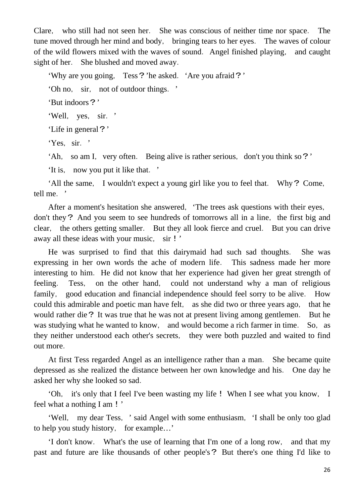Clare, who still had not seen her. She was conscious of neither time nor space. The tune moved through her mind and body, bringing tears to her eyes. The waves of colour of the wild flowers mixed with the waves of sound.Angel finished playing, and caught sight of her. She blushed and moved away.

'Why are you going, Tess?'he asked. 'Are you afraid?'

'Oh no, sir, not of outdoor things.'

'But indoors?'

'Well, yes, sir.'

'Life in general?'

'Yes, sir.'

'Ah, so am I, very often. Being alive is rather serious, don't you think so?'

'It is, now you put it like that. '

'All the same, I wouldn't expect a young girl like you to feel that. Why? Come, tell me.  $\cdot$ 

After a moment's hesitation she answered, 'The trees ask questions with their eyes, don't they? And you seem to see hundreds of tomorrows all in a line, the first big and clear, the others getting smaller. But they all look fierce and cruel. But you can drive away all these ideas with your music, sir!'

He was surprised to find that this dairymaid had such sad thoughts. She was expressing in her own words the ache of modern life. This sadness made her more interesting to him. He did not know that her experience had given her great strength of feeling. Tess, on the other hand, could not understand why a man of religious family, good education and financial independence should feel sorry to be alive. How could this admirable and poetic man have felt, as she did two or three years ago, that he would rather die? It was true that he was not at present living among gentlemen. But he was studying what he wanted to know, and would become a rich farmer in time. So, as they neither understood each other's secrets, they were both puzzled and waited to find out more.

At first Tess regarded Angel as an intelligence rather than a man. She became quite depressed as she realized the distance between her own knowledge and his. One day he asked her why she looked so sad.

'Oh, it's only that I feel I've been wasting my life! When I see what you know, I feel what a nothing I am!'

'Well, my dear Tess,' said Angel with some enthusiasm,'I shall be only too glad to help you study history, for example…'

'I don't know. What's the use of learning that I'm one of a long row, and that my past and future are like thousands of other people's? But there's one thing I'd like to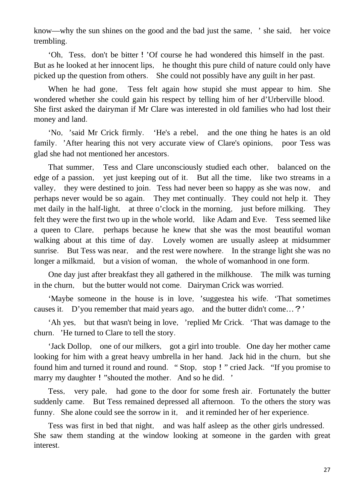know—why the sun shines on the good and the bad just the same, ' she said, her voice trembling.

'Oh, Tess, don't be bitter!' Of course he had wondered this himself in the past. But as he looked at her innocent lips, he thought this pure child of nature could only have picked up the question from others. She could not possibly have any guilt in her past.

When he had gone, Tess felt again how stupid she must appear to him. She wondered whether she could gain his respect by telling him of her d'Urberville blood. She first asked the dairyman if Mr Clare was interested in old families who had lost their money and land.

'No,'said Mr Crick firmly. 'He's a rebel, and the one thing he hates is an old family. 'After hearing this not very accurate view of Clare's opinions, poor Tess was glad she had not mentioned her ancestors.

That summer, Tess and Clare unconsciously studied each other, balanced on the edge of a passion, yet just keeping out of it. But all the time, like two streams in a valley, they were destined to join. Tess had never been so happy as she was now, and perhaps never would be so again. They met continually. They could not help it. They met daily in the half-light, at three o'clock in the morning, just before milking. They felt they were the first two up in the whole world, like Adam and Eve. Tess seemed like a queen to Clare, perhaps because he knew that she was the most beautiful woman walking about at this time of day. Lovely women are usually asleep at midsummer sunrise. But Tess was near, and the rest were nowhere. In the strange light she was no longer a milkmaid, but a vision of woman, the whole of womanhood in one form.

One day just after breakfast they all gathered in the milkhouse. The milk was turning in the churn, but the butter would not come. Dairyman Crick was worried.

'Maybe someone in the house is in love, 'suggestea his wife. 'That sometimes causes it. D'you remember that maid years ago, and the butter didn't come…?'

'Ah yes, but that wasn't being in love,'replied Mr Crick.'That was damage to the churn.'He turned to Clare to tell the story.

'Jack Dollop, one of our milkers, got a girl into trouble. One day her mother came looking for him with a great heavy umbrella in her hand. Jack hid in the churn, but she found him and turned it round and round. "Stop, stop!" cried Jack. "If you promise to marry my daughter! "shouted the mother. And so he did. '

Tess, very pale, had gone to the door for some fresh air. Fortunately the butter suddenly came. But Tess remained depressed all afternoon. To the others the story was funny. She alone could see the sorrow in it, and it reminded her of her experience.

Tess was first in bed that night, and was half asleep as the other girls undressed. She saw them standing at the window looking at someone in the garden with great interest.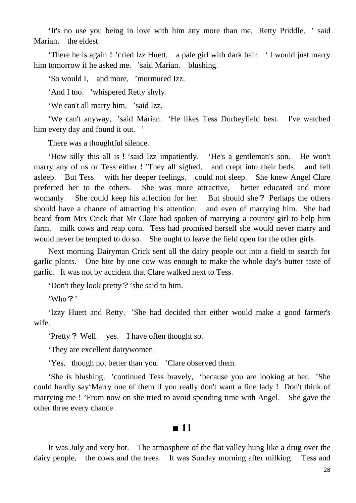'It's no use you being in love with him any more than me, Retty Priddle, ' said Marian, the eldest.

'There he is again! 'cried lzz Huett, a pale girl with dark hair. 'I would just marry him tomorrow if he asked me, 'said Marian, blushing.

'So would I, and more,'murmured Izz.

'And I too, 'whispered Retty shyly.

'We can't all marry him, 'said Izz.

'We can't anyway, 'said Marian. 'He likes Tess Durbeyfield best. I've watched him every day and found it out. '

There was a thoughtful silence.

'How silly this all is!'said Izz impatiently. 'He's a gentleman's son. He won't marry any of us or Tess either! 'They all sighed, and crept into their beds, and fell asleep. But Tess, with her deeper feelings, could not sleep. She knew Angel Clare preferred her to the others. She was more attractive, better educated and more womanly. She could keep his affection for her. But should she? Perhaps the others should have a chance of attracting his attention, and even of marrying him. She had heard from Mrs Crick that Mr Clare had spoken of marrying a country girl to help him farm, milk cows and reap corn. Tess had promised herself she would never marry and would never be tempted to do so. She ought to leave the field open for the other girls.

Next morning Dairyman Crick sent all the dairy people out into a field to search for garlic plants. One bite by one cow was enough to make the whole day's butter taste of garlic. It was not by accident that Clare walked next to Tess.

'Don't they look pretty?'she said to him.

'Who?'

'Izzy Huett and Retty.'She had decided that either would make a good farmer's wife.

'Pretty? Well, yes, I have often thought so.

'They are excellent dairywomen.

'Yes, though not better than you. 'Clare observed them.

'She is blushing,'continued Tess bravely,'because you are looking at her.'She could hardly say'Marry one of them if you really don't want a fine lady! Don't think of marrying me!'From now on she tried to avoid spending time with Angel. She gave the other three every chance.

# **■ 11**

It was July and very hot. The atmosphere of the flat valley hung like a drug over the dairy people, the cows and the trees. It was Sunday morning after milking. Tess and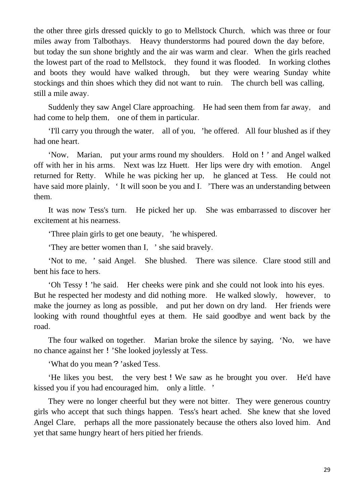the other three girls dressed quickly to go to Mellstock Church, which was three or four miles away from Talbothays. Heavy thunderstorms had poured down the day before, but today the sun shone brightly and the air was warm and clear. When the girls reached the lowest part of the road to Mellstock, they found it was flooded. In working clothes and boots they would have walked through, but they were wearing Sunday white stockings and thin shoes which they did not want to ruin. The church bell was calling, still a mile away.

Suddenly they saw Angel Clare approaching. He had seen them from far away, and had come to help them, one of them in particular.

'I'll carry you through the water, all of you,'he offered.All four blushed as if they had one heart.

'Now, Marian, put your arms round my shoulders. Hold on!' and Angel walked off with her in his arms. Next was lzz Huett. Her lips were dry with emotion. Angel returned for Retty. While he was picking her up, he glanced at Tess. He could not have said more plainly, 'It will soon be you and I. 'There was an understanding between them.

It was now Tess's turn. He picked her up. She was embarrassed to discover her excitement at his nearness.

Three plain girls to get one beauty, 'he whispered.

'They are better women than I, ' she said bravely.

'Not to me, ' said Angel. She blushed. There was silence. Clare stood still and bent his face to hers.

'Oh Tessy!'he said. Her cheeks were pink and she could not look into his eyes. But he respected her modesty and did nothing more. He walked slowly, however, to make the journey as long as possible, and put her down on dry land. Her friends were looking with round thoughtful eyes at them. He said goodbye and went back by the road.

The four walked on together. Marian broke the silence by saying, 'No, we have no chance against her! 'She looked joylessly at Tess.

'What do you mean?'asked Tess.

'He likes you best, the very best!We saw as he brought you over. He'd have kissed you if you had encouraged him, only a little. '

They were no longer cheerful but they were not bitter. They were generous country girls who accept that such things happen. Tess's heart ached. She knew that she loved Angel Clare, perhaps all the more passionately because the others also loved him. And yet that same hungry heart of hers pitied her friends.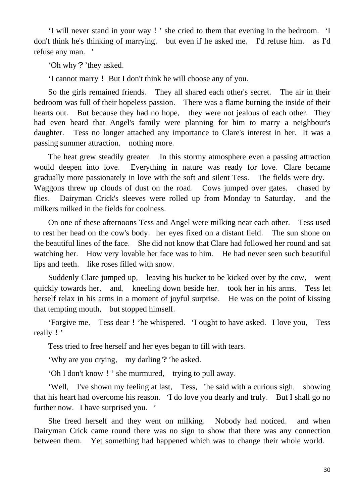'I will never stand in your way!' she cried to them that evening in the bedroom.'I don't think he's thinking of marrying, but even if he asked me, I'd refuse him, as I'd refuse any man. '

'Oh why?'they asked.

'I cannot marry! But I don't think he will choose any of you.

So the girls remained friends. They all shared each other's secret. The air in their bedroom was full of their hopeless passion. There was a flame burning the inside of their hearts out. But because they had no hope, they were not jealous of each other. They had even heard that Angel's family were planning for him to marry a neighbour's daughter. Tess no longer attached any importance to Clare's interest in her. It was a passing summer attraction, nothing more.

The heat grew steadily greater. In this stormy atmosphere even a passing attraction would deepen into love. Everything in nature was ready for love. Clare became gradually more passionately in love with the soft and silent Tess. The fields were dry. Waggons threw up clouds of dust on the road. Cows jumped over gates, chased by flies. Dairyman Crick's sleeves were rolled up from Monday to Saturday, and the milkers milked in the fields for coolness.

On one of these afternoons Tess and Angel were milking near each other. Tess used to rest her head on the cow's body, her eyes fixed on a distant field. The sun shone on the beautiful lines of the face. She did not know that Clare had followed her round and sat watching her. How very lovable her face was to him. He had never seen such beautiful lips and teeth, like roses filled with snow.

Suddenly Clare jumped up, leaving his bucket to be kicked over by the cow, went quickly towards her, and, kneeling down beside her, took her in his arms. Tess let herself relax in his arms in a moment of joyful surprise. He was on the point of kissing that tempting mouth, but stopped himself.

'Forgive me, Tess dear!'he whispered. 'I ought to have asked. I love you, Tess really!'

Tess tried to free herself and her eyes began to fill with tears.

'Why are you crying, my darling?'he asked.

'Oh I don't know!' she murmured, trying to pull away.

'Well, I've shown my feeling at last, Tess,'he said with a curious sigh, showing that his heart had overcome his reason.'I do love you dearly and truly. But I shall go no further now. I have surprised you. '

She freed herself and they went on milking. Nobody had noticed, and when Dairyman Crick came round there was no sign to show that there was any connection between them. Yet something had happened which was to change their whole world.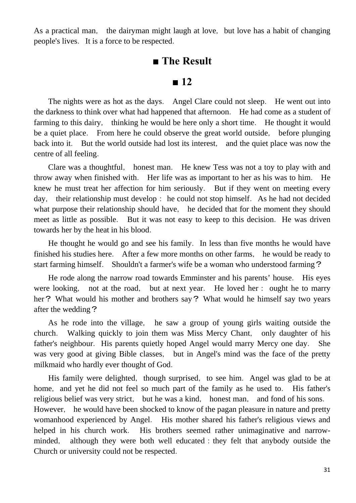As a practical man, the dairyman might laugh at love, but love has a habit of changing people's lives. It is a force to be respected.

# ■ The Result

## **■ 12**

The nights were as hot as the days. Angel Clare could not sleep. He went out into the darkness to think over what had happened that afternoon. He had come as a student of farming to this dairy, thinking he would be here only a short time. He thought it would be a quiet place. From here he could observe the great world outside, before plunging back into it. But the world outside had lost its interest, and the quiet place was now the centre of all feeling.

Clare was a thoughtful, honest man. He knew Tess was not a toy to play with and throw away when finished with. Her life was as important to her as his was to him. He knew he must treat her affection for him seriously. But if they went on meeting every day, their relationship must develop: he could not stop himself. As he had not decided what purpose their relationship should have, he decided that for the moment they should meet as little as possible. But it was not easy to keep to this decision. He was driven towards her by the heat in his blood.

He thought he would go and see his family. In less than five months he would have finished his studies here. After a few more months on other farms, he would be ready to start farming himself. Shouldn't a farmer's wife be a woman who understood farming?

He rode along the narrow road towards Emminster and his parents' house. His eyes were looking, not at the road, but at next year. He loved her: ought he to marry her? What would his mother and brothers say? What would he himself say two years after the wedding?

As he rode into the village, he saw a group of young girls waiting outside the church. Walking quickly to join them was Miss Mercy Chant, only daughter of his father's neighbour. His parents quietly hoped Angel would marry Mercy one day. She was very good at giving Bible classes, but in Angel's mind was the face of the pretty milkmaid who hardly ever thought of God.

His family were delighted, though surprised, to see him. Angel was glad to be at home, and yet he did not feel so much part of the family as he used to. His father's religious belief was very strict, but he was a kind, honest man, and fond of his sons. However, he would have been shocked to know of the pagan pleasure in nature and pretty womanhood experienced by Angel. His mother shared his father's religious views and helped in his church work. His brothers seemed rather unimaginative and narrowminded, although they were both well educated: they felt that anybody outside the Church or university could not be respected.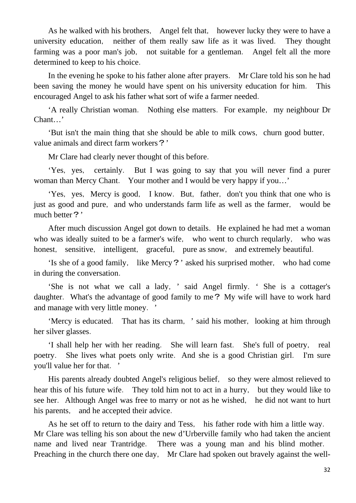As he walked with his brothers, Angel felt that, however lucky they were to have a university education, neither of them really saw life as it was lived. They thought farming was a poor man's job, not suitable for a gentleman. Angel felt all the more determined to keep to his choice.

In the evening he spoke to his father alone after prayers. Mr Clare told his son he had been saving the money he would have spent on his university education for him. This encouraged Angel to ask his father what sort of wife a farmer needed.

'A really Christian woman. Nothing else matters. For example, my neighbour Dr Chant…'

'But isn't the main thing that she should be able to milk cows, churn good butter, value animals and direct farm workers?'

Mr Clare had clearly never thought of this before.

'Yes, yes, certainly. But I was going to say that you will never find a purer woman than Mercy Chant. Your mother and I would be very happy if you…'

'Yes, yes, Mercy is good, I know. But, father, don't you think that one who is just as good and pure, and who understands farm life as well as the farmer, would be much better?'

After much discussion Angel got down to details. He explained he had met a woman who was ideally suited to be a farmer's wife, who went to church reqularly, who was honest, sensitive, intelligent, graceful, pure as snow, and extremely beautiful.

'Is she of a good family, like Mercy?' asked his surprised mother, who had come in during the conversation.

'She is not what we call a lady,' said Angel firmly.' She is a cottager's daughter. What's the advantage of good family to me? My wife will have to work hard and manage with very little money. '

'Mercy is educated. That has its charm, ' said his mother, looking at him through her silver glasses.

'I shall help her with her reading. She will learn fast. She's full of poetry, real poetry. She lives what poets only write. And she is a good Christian girl. I'm sure you'll value her for that.'

His parents already doubted Angel's religious belief, so they were almost relieved to hear this of his future wife. They told him not to act in a hurry, but they would like to see her. Although Angel was free to marry or not as he wished, he did not want to hurt his parents, and he accepted their advice.

As he set off to return to the dairy and Tess, his father rode with him a little way. Mr Clare was telling his son about the new d'Urberville family who had taken the ancient name and lived near Trantridge. There was a young man and his blind mother. Preaching in the church there one day, Mr Clare had spoken out bravely against the well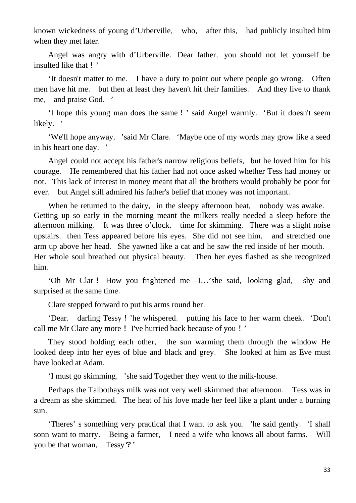known wickedness of young d'Urberville, who, after this, had publicly insulted him when they met later.

Angel was angry with d'Urberville. Dear father, you should not let yourself be insulted like that !'

'It doesn't matter to me. I have a duty to point out where people go wrong. Often men have hit me, but then at least they haven't hit their families. And they live to thank me, and praise God.'

'I hope this young man does the same!' said Angel warmly.'But it doesn't seem likely. '

'We'll hope anyway, 'said Mr Clare. 'Maybe one of my words may grow like a seed in his heart one day. '

Angel could not accept his father's narrow religious beliefs, but he loved him for his courage. He remembered that his father had not once asked whether Tess had money or not.This lack of interest in money meant that all the brothers would probably be poor for ever, but Angel still admired his father's belief that money was not important.

When he returned to the dairy, in the sleepy afternoon heat, nobody was awake. Getting up so early in the morning meant the milkers really needed a sleep before the afternoon milking. It was three o'clock, time for skimming. There was a slight noise upstairs, then Tess appeared before his eyes. She did not see him, and stretched one arm up above her head. She yawned like a cat and he saw the red inside of her mouth. Her whole soul breathed out physical beauty. Then her eyes flashed as she recognized him.

'Oh Mr Clar! How you frightened me—I...'she said, looking glad, shy and surprised at the same time.

Clare stepped forward to put his arms round her.

'Dear, darling Tessy!'he whispered, putting his face to her warm cheek.'Don't call me Mr Clare any more ! I've hurried back because of you ! '

They stood holding each other, the sun warming them through the window He looked deep into her eyes of blue and black and grey. She looked at him as Eve must have looked at Adam.

'I must go skimming,'she said Together they went to the milk-house.

Perhaps the Talbothays milk was not very well skimmed that afternoon. Tess was in a dream as she skimmed. The heat of his love made her feel like a plant under a burning sun.

'Theres' s something very practical that I want to ask you,'he said gently.'I shall sonn want to marry. Being a farmer, I need a wife who knows all about farms. Will you be that woman, Tessy?'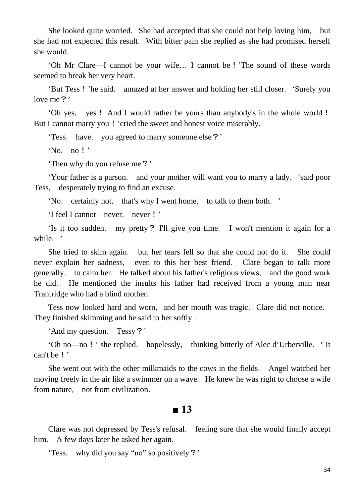She looked quite worried. She had accepted that she could not help loving him, but she had not expected this result. With bitter pain she replied as she had promised herself she would.

'Oh Mr Clare—I cannot be your wife… I cannot be!'The sound of these words seemed to break her very heart.

'But Tess!'he said, amazed at her answer and holding her still closer.'Surely you love me?'

'Oh yes, yes! And I would rather be yours than anybody's in the whole world! But I cannot marry you! 'cried the sweet and honest voice miserably.

'Tess, have, you agreed to marry someone else?'

'No, no!'

'Then why do you refuse me?'

'Your father is a parson, and your mother will want you to marry a lady, 'said poor Tess, desperately trying to find an excuse.

'No, certainly not, that's why I went home, to talk to them both.'

'I feel I cannot—never. never!'

'Is it too sudden, my pretty? I'll give you time. I won't mention it again for a while '

She tried to skim again, but her tears fell so that she could not do it. She could never explain her sadness, even to this her best friend. Clare began to talk more generally, to calm her.He talked about his father's religious views, and the good work he did. He mentioned the insults his father had received from a young man near Trantridge who had a blind mother.

Tess now looked hard and worn, and her mouth was tragic. Clare did not notice. They finished skimming and he said to her softly:

'And my question, Tessy?'

'Oh no—no!' she replied, hopelessly, thinking bitterly of Alec d'Urberville.' It can't be!'

She went out with the other milkmaids to the cows in the fields. Angel watched her moving freely in the air like a swimmer on a wave. He knew he was right to choose a wife from nature, not from civilization.

## **■ 13**

Clare was not depressed by Tess's refusal, feeling sure that she would finally accept him. A few days later he asked her again.

'Tess, why did you say "no" so positively?'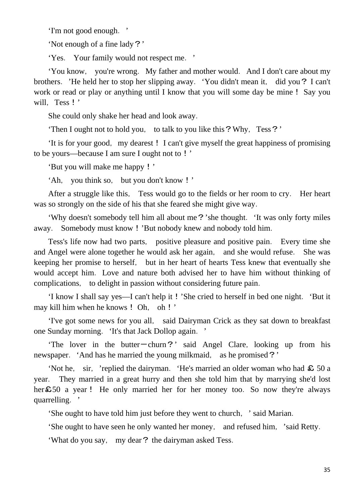'I'm not good enough.'

'Not enough of a fine lady?'

'Yes. Your family would not respect me.'

'You know, you're wrong.My father and mother would.And I don't care about my brothers. 'He held her to stop her slipping away. 'You didn't mean it, did you? I can't work or read or play or anything until I know that you will some day be mine! Say you will. Tess!'

She could only shake her head and look away.

'Then I ought not to hold you, to talk to you like this? Why, Tess?'

'It is for your good,my dearest! I can't give myself the great happiness of promising to be yours—because I am sure I ought not to !'

'But you will make me happy!'

'Ah, you think so, but you don't know!'

After a struggle like this, Tess would go to the fields or her room to cry. Her heart was so strongly on the side of his that she feared she might give way.

'Why doesn't somebody tell him all about me?'she thought.'It was only forty miles away. Somebody must know ! 'But nobody knew and nobody told him.

Tess's life now had two parts, positive pleasure and positive pain. Every time she and Angel were alone together he would ask her again, and she would refuse. She was keeping her promise to herself, but in her heart of hearts Tess knew that eventually she would accept him. Love and nature both advised her to have him without thinking of complications, to delight in passion without considering future pain.

'I know I shall say yes—I can't help it!'She cried to herself in bed one night. 'But it may kill him when he knows ! Oh, oh!'

'I've got some news for you all, said Dairyman Crick as they sat down to breakfast one Sunday morning. 'It's that Jack Dollop again.'

'The lover in the butter-churn?' said Angel Clare, looking up from his newspaper. 'And has he married the young milkmaid, as he promised?'

'Not he, sir, 'replied the dairyman. 'He's married an older woman who had  $\epsilon$  50 a year. They married in a great hurry and then she told him that by marrying she'd lost her $£50$  a year! He only married her for her money too. So now they're always quarrelling. '

'She ought to have told him just before they went to church, ' said Marian.

'She ought to have seen he only wanted her money, and refused him, 'said Retty.

'What do you say, my dear? the dairyman asked Tess.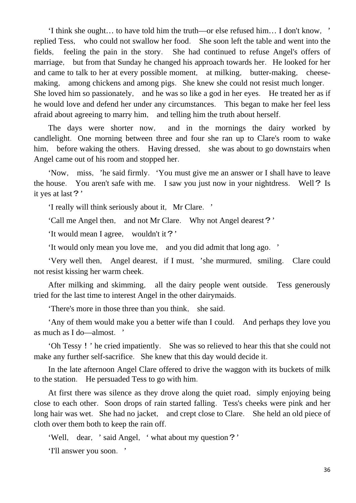'I think she ought… to have told him the truth—or else refused him… I don't know,' replied Tess, who could not swallow her food. She soon left the table and went into the fields, feeling the pain in the story. She had continued to refuse Angel's offers of marriage, but from that Sunday he changed his approach towards her. He looked for her and came to talk to her at every possible moment, at milking, butter-making, cheesemaking, among chickens and among pigs. She knew she could not resist much longer. She loved him so passionately, and he was so like a god in her eyes. He treated her as if he would love and defend her under any circumstances. This began to make her feel less afraid about agreeing to marry him, and telling him the truth about herself.

The days were shorter now, and in the mornings the dairy worked by candlelight. One morning between three and four she ran up to Clare's room to wake him, before waking the others. Having dressed, she was about to go downstairs when Angel came out of his room and stopped her.

'Now, miss,'he said firmly.'You must give me an answer or I shall have to leave the house. You aren't safe with me. I saw you just now in your nightdress. Well? Is it yes at last?'

'I really will think seriously about it, Mr Clare.'

'Call me Angel then, and not Mr Clare. Why not Angel dearest?'

'It would mean I agree, wouldn't it?'

'It would only mean you love me, and you did admit that long ago.'

'Very well then, Angel dearest, if I must, 'she murmured, smiling. Clare could not resist kissing her warm cheek.

After milking and skimming, all the dairy people went outside. Tess generously tried for the last time to interest Angel in the other dairymaids.

'There's more in those three than you think, she said.

'Any of them would make you a better wife than I could. And perhaps they love you as much as I do—almost.'

'Oh Tessy!' he cried impatiently. She was so relieved to hear this that she could not make any further self-sacrifice. She knew that this day would decide it.

In the late afternoon Angel Clare offered to drive the waggon with its buckets of milk to the station. He persuaded Tess to go with him.

At first there was silence as they drove along the quiet road, simply enjoying being close to each other. Soon drops of rain started falling. Tess's cheeks were pink and her long hair was wet. She had no jacket, and crept close to Clare. She held an old piece of cloth over them both to keep the rain off.

'Well, dear, ' said Angel, ' what about my question?'

'I'll answer you soon.'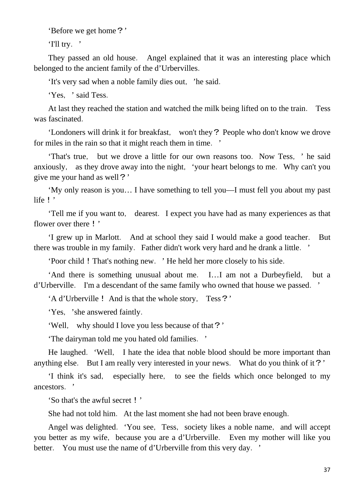'Before we get home?'

'I'll try.'

They passed an old house. Angel explained that it was an interesting place which belonged to the ancient family of the d'Urbervilles.

'It's very sad when a noble family dies out,'he said.

'Yes, ' said Tess.

At last they reached the station and watched the milk being lifted on to the train. Tess was fascinated.

'Londoners will drink it for breakfast, won't they? People who don't know we drove for miles in the rain so that it might reach them in time.  $\cdot$ 

'That's true, but we drove a little for our own reasons too. Now Tess, ' he said anxiously, as they drove away into the night, 'your heart belongs to me. Why can't you give me your hand as well?'

'My only reason is you… I have something to tell you—I must fell you about my past life!'

'Tell me if you want to, dearest.I expect you have had as many experiences as that flower over there!'

'I grew up in Marlott. And at school they said I would make a good teacher. But there was trouble in my family. Father didn't work very hard and he drank a little. '

'Poor child!That's nothing new.' He held her more closely to his side.

'And there is something unusual about me. I…I am not a Durbeyfield, but a d'Urberville. I'm a descendant of the same family who owned that house we passed.'

'A d'Urberville! And is that the whole story, Tess?'

'Yes, 'she answered faintly.

'Well, why should I love you less because of that?'

'The dairyman told me you hated old families.'

He laughed.'Well, I hate the idea that noble blood should be more important than anything else. But I am really very interested in your news. What do you think of it?'

'I think it's sad, especially here, to see the fields which once belonged to my ancestors<sup>'</sup>

'So that's the awful secret!'

She had not told him. At the last moment she had not been brave enough.

Angel was delighted. 'You see, Tess, society likes a noble name, and will accept you better as my wife,because you are a d'Urberville. Even my mother will like you better. You must use the name of d'Urberville from this very day. '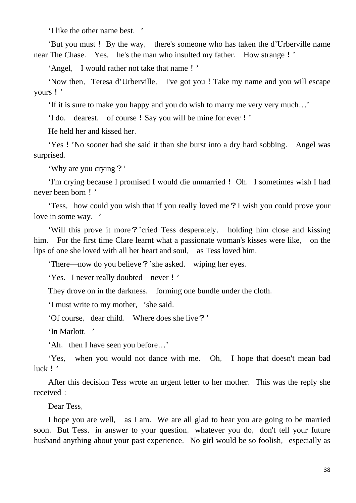'I like the other name best.'

'But you must! By the way, there's someone who has taken the d'Urberville name near The Chase. Yes, he's the man who insulted my father. How strange!'

'Angel, I would rather not take that name!'

'Now then, Teresa d'Urberville, I've got you! Take my name and you will escape yours!'

'If it is sure to make you happy and you do wish to marry me very very much…'

'I do, dearest, of course! Say you will be mine for ever!'

He held her and kissed her.

'Yes!'No sooner had she said it than she burst into a dry hard sobbing. Angel was surprised.

'Why are you crying?'

'I'm crying because I promised I would die unmarried! Oh,I sometimes wish I had never been born ! '

'Tess, how could you wish that if you really loved me?I wish you could prove your love in some way. '

'Will this prove it more?'cried Tess desperately, holding him close and kissing him. For the first time Clare learnt what a passionate woman's kisses were like, on the lips of one she loved with all her heart and soul, as Tess loved him.

'There—now do you believe?'she asked, wiping her eyes.

'Yes. I never really doubted—never!'

They drove on in the darkness, forming one bundle under the cloth.

'I must write to my mother, 'she said.

'Of course, dear child. Where does she live?'

'In Marlott. '

'Ah, then I have seen you before...'

'Yes, when you would not dance with me. Oh, I hope that doesn't mean bad luck ! '

After this decision Tess wrote an urgent letter to her mother. This was the reply she received:

Dear Tess,

I hope you are well, as I am.We are all glad to hear you are going to be married soon. But Tess, in answer to your question, whatever you do, don't tell your future husband anything about your past experience. No girl would be so foolish, especially as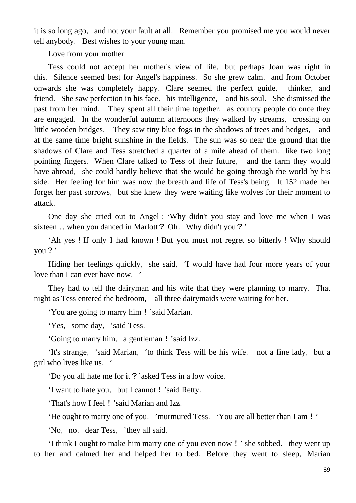it is so long ago, and not your fault at all. Remember you promised me you would never tell anybody. Best wishes to your young man.

Love from your mother

Tess could not accept her mother's view of life, but perhaps Joan was right in this. Silence seemed best for Angel's happiness. So she grew calm, and from October onwards she was completely happy. Clare seemed the perfect guide, thinker, and friend. She saw perfection in his face, his intelligence, and his soul. She dismissed the past from her mind. They spent all their time together, as country people do once they are engaged. In the wonderful autumn afternoons they walked by streams, crossing on little wooden bridges. They saw tiny blue fogs in the shadows of trees and hedges, and at the same time bright sunshine in the fields.The sun was so near the ground that the shadows of Clare and Tess stretched a quarter of a mile ahead of them, like two long pointing fingers.When Clare talked to Tess of their future, and the farm they would have abroad, she could hardly believe that she would be going through the world by his side. Her feeling for him was now the breath and life of Tess's being. It 152 made her forget her past sorrows, but she knew they were waiting like wolves for their moment to attack.

One day she cried out to Angel:'Why didn't you stay and love me when I was sixteen... when you danced in Marlott? Oh, Why didn't you?'

'Ah yes!If only I had known!But you must not regret so bitterly!Why should you?'

Hiding her feelings quickly, she said, 'I would have had four more years of your love than I can ever have now.

They had to tell the dairyman and his wife that they were planning to marry. That night as Tess entered the bedroom, all three dairymaids were waiting for her.

'You are going to marry him!'said Marian.

'Yes, some day, 'said Tess.

'Going to marry him, a gentleman! 'said Izz.

'It's strange, 'said Marian, 'to think Tess will be his wife, not a fine lady, but a girl who lives like us.'

'Do you all hate me for it?'asked Tess in a low voice.

'I want to hate you, but I cannot!'said Retty.

'That's how I feel!'said Marian and Izz.

'He ought to marry one of you,'murmured Tess.'You are all better than I am!'

'No, no, dear Tess, 'they all said.

'I think I ought to make him marry one of you even now!' she sobbed. they went up to her and calmed her and helped her to bed. Before they went to sleep. Marian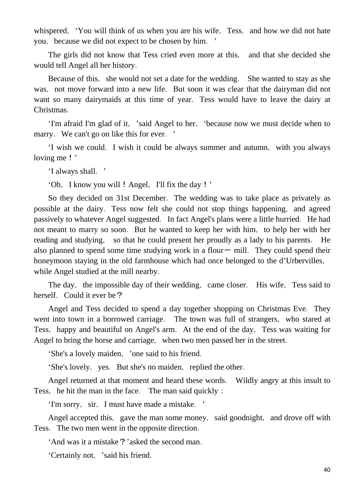whispered, 'You will think of us when you are his wife, Tess, and how we did not hate you, because we did not expect to be chosen by him. '

The girls did not know that Tess cried even more at this, and that she decided she would tell Angel all her history.

Because of this, she would not set a date for the wedding. She wanted to stay as she was, not move forward into a new life. But soon it was clear that the dairyman did not want so many dairymaids at this time of year. Tess would have to leave the dairy at Christmas.

'I'm afraid I'm glad of it, 'said Angel to her, 'because now we must decide when to marry. We can't go on like this for ever. '

'I wish we could. I wish it could be always summer and autumn, with you always loving me ! '

'I always shall. '

'Oh, I know you will! Angel, I'll fix the day!'

So they decided on 31st December. The wedding was to take place as privately as possible at the dairy. Tess now felt she could not stop things happening, and agreed passively to whatever Angel suggested. In fact Angel's plans were a little hurried. He had not meant to marry so soon. But he wanted to keep her with him, to help her with her reading and studying, so that he could present her proudly as a lady to his parents. He also planned to spend some time studying work in a flour- mill. They could spend their honeymoon staying in the old farmhouse which had once belonged to the d'Urbervilles, while Angel studied at the mill nearby.

The day, the impossible day of their wedding, came closer. His wife, Tess said to herself. Could it ever be?

Angel and Tess decided to spend a day together shopping on Christmas Eve. They went into town in a borrowed carriage. The town was full of strangers, who stared at Tess, happy and beautiful on Angel's arm. At the end of the day, Tess was waiting for Angel to bring the horse and carriage, when two men passed her in the street.

'She's a lovely maiden,'one said to his friend.

'She's lovely, yes. But she's no maiden, replied the other.

Angel returned at that moment and heard these words. Wildly angry at this insult to Tess, he hit the man in the face. The man said quickly:

'I'm sorry, sir, I must have made a mistake.'

Angel accepted this, gave the man some money, said goodnight, and drove off with Tess. The two men went in the opposite direction.

'And was it a mistake?'asked the second man.

'Certainly not, 'said his friend.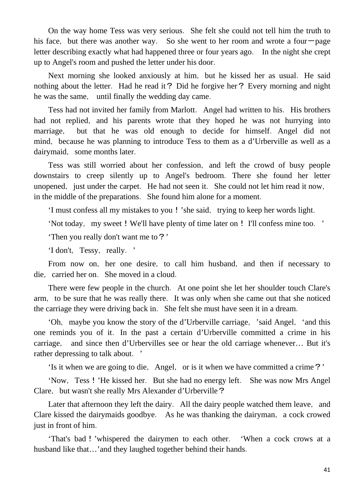On the way home Tess was very serious. She felt she could not tell him the truth to his face, but there was another way. So she went to her room and wrote a four-page letter describing exactly what had happened three or four years ago. In the night she crept up to Angel's room and pushed the letter under his door.

Next morning she looked anxiously at him, but he kissed her as usual. He said nothing about the letter. Had he read it? Did he forgive her? Every morning and night he was the same, until finally the wedding day came.

Tess had not invited her family from Marlott. Angel had written to his. His brothers had not replied, and his parents wrote that they hoped he was not hurrying into marriage, but that he was old enough to decide for himself. Angel did not mind, because he was planning to introduce Tess to them as a d'Urberville as well as a dairymaid, some months later.

Tess was still worried about her confession, and left the crowd of busy people downstairs to creep silently up to Angel's bedroom.There she found her letter unopened, just under the carpet. He had not seen it. She could not let him read it now, in the middle of the preparations. She found him alone for a moment.

'I must confess all my mistakes to you! 'she said, trying to keep her words light.

'Not today,my sweet!We'll have plenty of time later on! I'll confess mine too.'

'Then you really don't want me to?'

'I don't, Tessy, really. '

From now on, her one desire, to call him husband, and then if necessary to die, carried her on. She moved in a cloud.

There were few people in the church. At one point she let her shoulder touch Clare's arm, to be sure that he was really there. It was only when she came out that she noticed the carriage they were driving back in. She felt she must have seen it in a dream.

'Oh, maybe you know the story of the d'Urberville carriage, 'said Angel, 'and this one reminds you of it.In the past a certain d'Urberville committed a crime in his carriage, and since then d'Urbervilles see or hear the old carriage whenever… But it's rather depressing to talk about.  $\cdot$ 

'Is it when we are going to die, Angel, or is it when we have committed a crime?'

'Now, Tess! 'He kissed her. But she had no energy left. She was now Mrs Angel Clare, but wasn't she really Mrs Alexander d'Urberville?

Later that afternoon they left the dairy. All the dairy people watched them leave, and Clare kissed the dairymaids goodbye. As he was thanking the dairyman, a cock crowed just in front of him.

'That's bad!'whispered the dairymen to each other. 'When a cock crows at a husband like that…'and they laughed together behind their hands.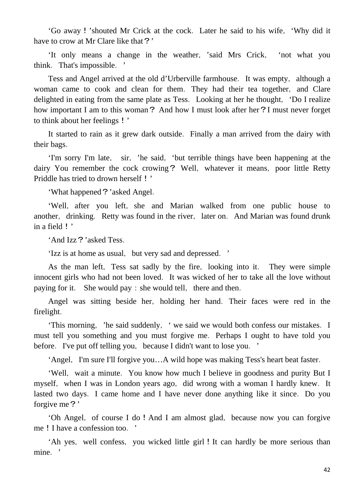'Go away!'shouted Mr Crick at the cock.Later he said to his wife,'Why did it have to crow at Mr Clare like that?'

'It only means a change in the weather,'said Mrs Crick, 'not what you think. That's impossible. '

Tess and Angel arrived at the old d'Urberville farmhouse. It was empty, although a woman came to cook and clean for them. They had their tea together, and Clare delighted in eating from the same plate as Tess. Looking at her he thought, 'Do I realize how important I am to this woman? And how I must look after her? I must never forget to think about her feelings!'

It started to rain as it grew dark outside. Finally a man arrived from the dairy with their bags.

'I'm sorry I'm late, sir,'he said,'but terrible things have been happening at the dairy You remember the cock crowing? Well, whatever it means, poor little Retty Priddle has tried to drown herself!'

'What happened?'asked Angel.

'Well, after you left, she and Marian walked from one public house to another, drinking. Retty was found in the river, later on. And Marian was found drunk in a field ! '

'And Izz?'asked Tess.

'Izz is at home as usual, but very sad and depressed. '

As the man left, Tess sat sadly by the fire, looking into it. They were simple innocent girls who had not been loved. It was wicked of her to take all the love without paying for it. She would pay: she would tell, there and then.

Angel was sitting beside her, holding her hand. Their faces were red in the firelight.

'This morning, 'he said suddenly, ' we said we would both confess our mistakes. I must tell you something and you must forgive me. Perhaps I ought to have told you before. I've put off telling you, because I didn't want to lose you.'

'Angel, I'm sure I'll forgive you...A wild hope was making Tess's heart beat faster.

'Well, wait a minute. You know how much I believe in goodness and purity But I myself, when I was in London years ago, did wrong with a woman I hardly knew. It lasted two days. I came home and I have never done anything like it since. Do you forgive me?'

'Oh Angel, of course I do! And I am almost glad, because now you can forgive me!I have a confession too.'

'Ah yes, well confess, you wicked little girl! It can hardly be more serious than mine. '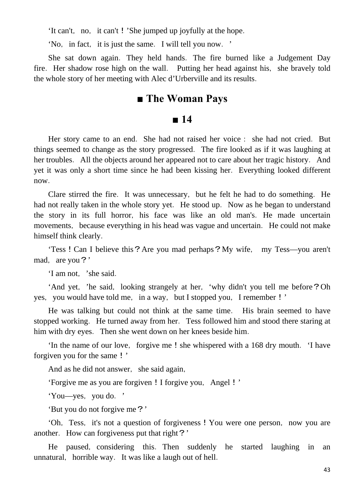'It can't, no, it can't!'She jumped up joyfully at the hope.

'No, in fact, it is just the same. I will tell you now.'

She sat down again. They held hands. The fire burned like a Judgement Day fire. Her shadow rose high on the wall. Putting her head against his, she bravely told the whole story of her meeting with Alec d'Urberville and its results.

#### **■ The Woman Pays**

## **■ 14**

Her story came to an end. She had not raised her voice: she had not cried. But things seemed to change as the story progressed.The fire looked as if it was laughing at her troubles. All the objects around her appeared not to care about her tragic history. And yet it was only a short time since he had been kissing her. Everything looked different now.

Clare stirred the fire. It was unnecessary, but he felt he had to do something. He had not really taken in the whole story yet. He stood up. Now as he began to understand the story in its full horror, his face was like an old man's. He made uncertain movements, because everything in his head was vague and uncertain. He could not make himself think clearly.

'Tess!Can I believe this?Are you mad perhaps?My wife, my Tess—you aren't mad, are you?'

'I am not. 'she said.

'And yet, 'he said, looking strangely at her, 'why didn't you tell me before? Oh yes, you would have told me, in a way, but I stopped you, I remember!'

He was talking but could not think at the same time. His brain seemed to have stopped working. He turned away from her. Tess followed him and stood there staring at him with dry eyes. Then she went down on her knees beside him.

'In the name of our love, forgive me! she whispered with a 168 dry mouth. 'I have forgiven you for the same!'

And as he did not answer, she said again,

'Forgive me as you are forgiven! I forgive you, Angel!'

'You—yes, you do.'

'But you do not forgive me?'

'Oh, Tess, it's not a question of forgiveness! You were one person, now you are another. How can forgiveness put that right?'

He paused, considering this. Then suddenly he started laughing in an unnatural, horrible way. It was like a laugh out of hell.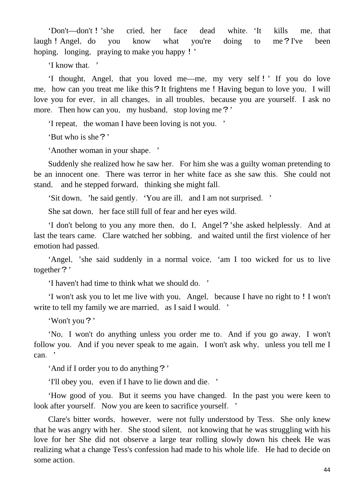'Don't—don't!'she cried, her face dead white. 'It kills me, that laugh! Angel, do you know what you're doing to me? I've been hoping, longing, praying to make you happy!'

'I know that.'

'I thought, Angel, that you loved me—me, my very self!' If you do love me, how can you treat me like this? It frightens me ! Having begun to love you, I will love you for ever, in all changes, in all troubles, because you are yourself. I ask no more. Then how can you, my husband, stop loving me?'

'I repeat, the woman I have been loving is not you.'

'But who is she?'

'Another woman in your shape.'

Suddenly she realized how he saw her. For him she was a guilty woman pretending to be an innocent one. There was terror in her white face as she saw this. She could not stand, and he stepped forward, thinking she might fall.

'Sit down, 'he said gently. 'You are ill, and I am not surprised.'

She sat down, her face still full of fear and her eyes wild.

'I don't belong to you any more then, do I, Angel?'she asked helplessly. And at last the tears came. Clare watched her sobbing, and waited until the first violence of her emotion had passed.

'Angel, 'she said suddenly in a normal voice, 'am I too wicked for us to live together?'

'I haven't had time to think what we should do.'

'I won't ask you to let me live with you,Angel,because I have no right to!I won't write to tell my family we are married, as I said I would. '

'Won't you?'

'No,I won't do anything unless you order me to.And if you go away,I won't follow you. And if you never speak to me again, I won't ask why, unless you tell me I can. '

'And if I order you to do anything?'

'I'll obey you, even if I have to lie down and die. '

'How good of you. But it seems you have changed. In the past you were keen to look after yourself. Now you are keen to sacrifice yourself. '

Clare's bitter words, however, were not fully understood by Tess. She only knew that he was angry with her. She stood silent, not knowing that he was struggling with his love for her She did not observe a large tear rolling slowly down his cheek He was realizing what a change Tess's confession had made to his whole life. He had to decide on some action.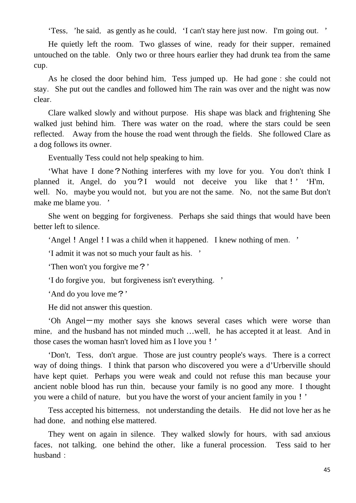'Tess, 'he said, as gently as he could, 'I can't stay here just now. I'm going out.'

He quietly left the room. Two glasses of wine, ready for their supper, remained untouched on the table. Only two or three hours earlier they had drunk tea from the same cup.

As he closed the door behind him, Tess jumped up. He had gone: she could not stay. She put out the candles and followed him The rain was over and the night was now clear.

Clare walked slowly and without purpose. His shape was black and frightening She walked just behind him. There was water on the road, where the stars could be seen reflected. Away from the house the road went through the fields. She followed Clare as a dog follows its owner.

Eventually Tess could not help speaking to him.

'What have I done? Nothing interferes with my love for you. You don't think I planned it,Angel,do you?I would not deceive you like that!' 'H'm, well. No, maybe you would not, but you are not the same. No, not the same But don't make me blame you.

She went on begging for forgiveness. Perhaps she said things that would have been better left to silence.

'Angel! Angel! I was a child when it happened. I knew nothing of men. '

'I admit it was not so much your fault as his.'

'Then won't you forgive me?'

'I do forgive you, but forgiveness isn't everything. '

'And do you love me?'

He did not answer this question.

'Oh Angel-my mother says she knows several cases which were worse than mine, and the husband has not minded much …well, he has accepted it at least. And in those cases the woman hasn't loved him as I love you!'

'Don't, Tess, don't argue. Those are just country people's ways. There is a correct way of doing things. I think that parson who discovered you were a d'Urberville should have kept quiet. Perhaps you were weak and could not refuse this man because your ancient noble blood has run thin, because your family is no good any more. I thought you were a child of nature, but you have the worst of your ancient family in you!'

Tess accepted his bitterness, not understanding the details. He did not love her as he had done, and nothing else mattered.

They went on again in silence. They walked slowly for hours, with sad anxious faces, not talking, one behind the other, like a funeral procession. Tess said to her husband: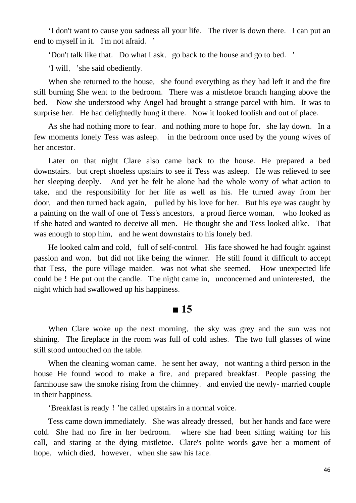'I don't want to cause you sadness all your life. The river is down there. I can put an end to myself in it. I'm not afraid. '

'Don't talk like that. Do what I ask, go back to the house and go to bed. '

'I will, 'she said obediently.

When she returned to the house, she found everything as they had left it and the fire still burning She went to the bedroom.There was a mistletoe branch hanging above the bed. Now she understood why Angel had brought a strange parcel with him. It was to surprise her. He had delightedly hung it there. Now it looked foolish and out of place.

As she had nothing more to fear, and nothing more to hope for, she lay down. In a few moments lonely Tess was asleep, in the bedroom once used by the young wives of her ancestor.

Later on that night Clare also came back to the house. He prepared a bed downstairs, but crept shoeless upstairs to see if Tess was asleep. He was relieved to see her sleeping deeply. And yet he felt he alone had the whole worry of what action to take, and the responsibility for her life as well as his. He turned away from her door, and then turned back again, pulled by his love for her. But his eye was caught by a painting on the wall of one of Tess's ancestors, a proud fierce woman, who looked as if she hated and wanted to deceive all men. He thought she and Tess looked alike. That was enough to stop him, and he went downstairs to his lonely bed.

He looked calm and cold, full of self-control. His face showed he had fought against passion and won, but did not like being the winner. He still found it difficult to accept that Tess, the pure village maiden, was not what she seemed. How unexpected life could be! He put out the candle. The night came in, unconcerned and uninterested, the night which had swallowed up his happiness.

#### **■ 15**

When Clare woke up the next morning, the sky was grey and the sun was not shining. The fireplace in the room was full of cold ashes. The two full glasses of wine still stood untouched on the table.

When the cleaning woman came, he sent her away, not wanting a third person in the house He found wood to make a fire, and prepared breakfast. People passing the farmhouse saw the smoke rising from the chimney, and envied the newly- married couple in their happiness.

'Breakfast is ready!'he called upstairs in a normal voice.

Tess came down immediately. She was already dressed, but her hands and face were cold. She had no fire in her bedroom, where she had been sitting waiting for his call, and staring at the dying mistletoe. Clare's polite words gave her a moment of hope, which died, however, when she saw his face.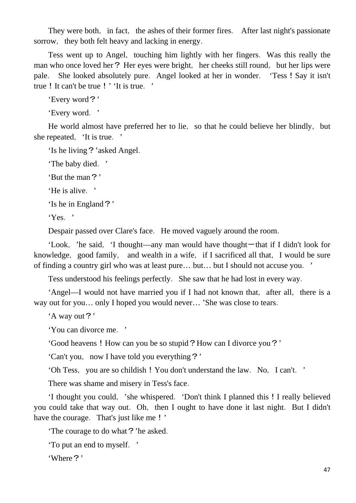They were both, in fact, the ashes of their former fires. After last night's passionate sorrow, they both felt heavy and lacking in energy.

Tess went up to Angel, touching him lightly with her fingers. Was this really the man who once loved her? Her eyes were bright, her cheeks still round, but her lips were pale. She looked absolutely pure.Angel looked at her in wonder. 'Tess!Say it isn't true ! It can't be true ! ' 'It is true. '

'Every word?'

'Every word.'

He world almost have preferred her to lie, so that he could believe her blindly, but she repeated, 'It is true.'

'Is he living?'asked Angel.

'The baby died.'

'But the man?'

'He is alive. '

'Is he in England?'

'Yes.'

Despair passed over Clare's face. He moved vaguely around the room.

'Look, 'he said, 'I thought—any man would have thought-that if I didn't look for knowledge, good family, and wealth in a wife, if I sacrificed all that, I would be sure of finding a country girl who was at least pure… but… but I should not accuse you.'

Tess understood his feelings perfectly. She saw that he had lost in every way.

'Angel—I would not have married you if I had not known that, after all, there is a way out for you… only I hoped you would never… 'She was close to tears.

'A way out?'

'You can divorce me.'

'Good heavens!How can you be so stupid?How can I divorce you?'

'Can't you, now I have told you everything?'

'Oh Tess, you are so childish! You don't understand the law. No, I can't.'

There was shame and misery in Tess's face.

'I thought you could,'she whispered.'Don't think I planned this!I really believed you could take that way out. Oh, then I ought to have done it last night. But I didn't have the courage. That's just like me!'

'The courage to do what?'he asked.

'To put an end to myself.'

'Where?'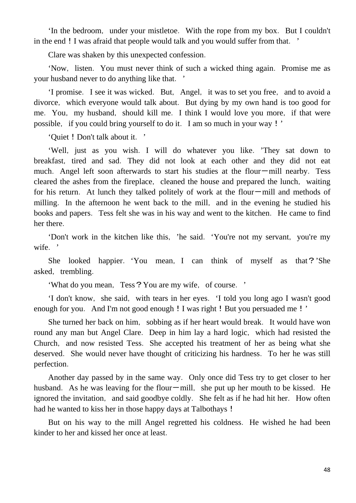'In the bedroom, under your mistletoe. With the rope from my box. But I couldn't in the end! I was afraid that people would talk and you would suffer from that. '

Clare was shaken by this unexpected confession.

'Now, listen. You must never think of such a wicked thing again. Promise me as your husband never to do anything like that.'

'I promise. I see it was wicked. But, Angel, it was to set you free, and to avoid a divorce, which everyone would talk about. But dying by my own hand is too good for me. You, my husband, should kill me. I think I would love you more, if that were possible, if you could bring yourself to do it. I am so much in your way!'

'Ouiet! Don't talk about it. '

'Well, just as you wish. I will do whatever you like. 'They sat down to breakfast, tired and sad. They did not look at each other and they did not eat much. Angel left soon afterwards to start his studies at the flour-mill nearby. Tess cleared the ashes from the fireplace, cleaned the house and prepared the lunch, waiting for his return. At lunch they talked politely of work at the flour-mill and methods of milling. In the afternoon he went back to the mill, and in the evening he studied his books and papers. Tess felt she was in his way and went to the kitchen. He came to find her there.

'Don't work in the kitchen like this, 'he said. 'You're not my servant, you're my wife. '

She looked happier. 'You mean, I can think of myself as that?'She asked, trembling.

'What do you mean, Tess? You are my wife, of course.'

'I don't know, she said, with tears in her eyes. 'I told you long ago I wasn't good enough for you. And I'm not good enough! I was right! But you persuaded me!'

She turned her back on him, sobbing as if her heart would break. It would have won round any man but Angel Clare. Deep in him lay a hard logic, which had resisted the Church, and now resisted Tess. She accepted his treatment of her as being what she deserved. She would never have thought of criticizing his hardness. To her he was still perfection.

Another day passed by in the same way. Only once did Tess try to get closer to her husband. As he was leaving for the flour-mill, she put up her mouth to be kissed. He ignored the invitation, and said goodbye coldly. She felt as if he had hit her. How often had he wanted to kiss her in those happy days at Talbothays!

But on his way to the mill Angel regretted his coldness. He wished he had been kinder to her and kissed her once at least.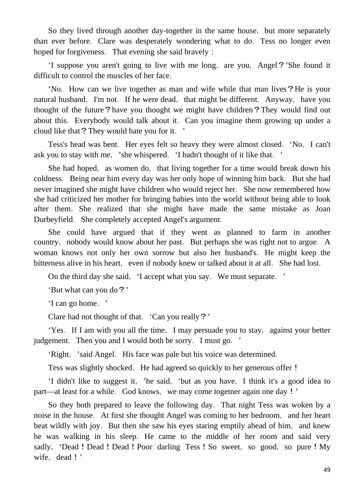So they lived through another day-together in the same house, but more separately than ever before. Clare was desperately wondering what to do. Tess no longer even hoped for forgiveness. That evening she said bravely:

'I suppose you aren't going to live with me long, are you, Angel?'She found it difficult to control the muscles of her face.

'No. How can we live together as man and wife while that man lives? He is your natural husband, I'm not. If he were dead, that might be different. Anyway, have you thought of the future? have you thought we might have children? They would find out about this. Everybody would talk about it. Can you imagine them growing up under a cloud like that? They would hate you for it. '

Tess's head was bent. Her eyes felt so heavy they were almost closed. 'No, I can't ask you to stay with me, 'she whispered. 'I hadn't thought of it like that. '

She had hoped, as women do, that living together for a time would break down his coldness. Being near him every day was her only hope of winning him back. But she had never imagined she might have children who would reject her. She now remembered how she had criticized her mother for bringing babies into the world without being able to look after them.She realized that she might have made the same mistake as Joan Durbeyfield. She completely accepted Angel's argument.

She could have argued that if they went as planned to farm in another country, nobody would know about her past. But perhaps she was right not to argue. A woman knows not only her own sorrow but also her husband's. He might keep the bitterness alive in his heart, even if nobody knew or talked about it at all. She had lost.

On the third day she said, 'I accept what you say. We must separate.'

'But what can you do?'

'I can go home. '

Clare had not thought of that. 'Can you really?'

'Yes. If I am with you all the time, I may persuade you to stay, against your better judgement. Then you and I would both be sorry. I must go. '

'Right, 'said Angel. His face was pale but his voice was determined.

Tess was slightly shocked. He had agreed so quickly to her generous offer!

'I didn't like to suggest it,'he said,'but as you have,I think it's a good idea to part—at least for a while. God knows, we may come togetner again one day!'

So they both prepared to leave the following day. That night Tess was woken by a noise in the house. At first she thought Angel was coming to her bedroom, and her heart beat wildly with joy. But then she saw his eyes staring emptily ahead of him, and knew he was walking in his sleep. He came to the middle of her room and said very sadly, 'Dead! Dead! Dead! Poor darling Tess! So sweet, so good, so pure! My wife, dead!'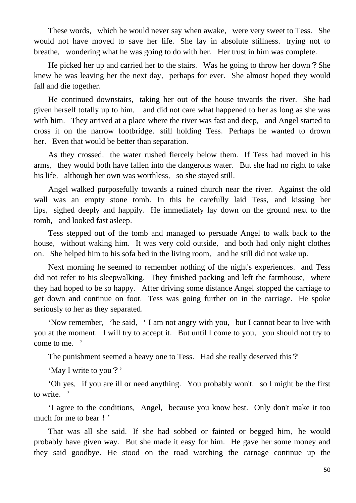These words, which he would never say when awake, were very sweet to Tess. She would not have moved to save her life. She lay in absolute stillness, trying not to breathe, wondering what he was going to do with her. Her trust in him was complete.

He picked her up and carried her to the stairs. Was he going to throw her down? She knew he was leaving her the next day, perhaps for ever. She almost hoped they would fall and die together.

He continued downstairs, taking her out of the house towards the river. She had given herself totally up to him, and did not care what happened to her as long as she was with him. They arrived at a place where the river was fast and deep, and Angel started to cross it on the narrow footbridge, still holding Tess. Perhaps he wanted to drown her. Even that would be better than separation.

As they crossed, the water rushed fiercely below them. If Tess had moved in his arms, they would both have fallen into the dangerous water. But she had no right to take his life, although her own was worthless, so she stayed still.

Angel walked purposefully towards a ruined church near the river. Against the old wall was an empty stone tomb. In this he carefully laid Tess, and kissing her lips, sighed deeply and happily. He immediately lay down on the ground next to the tomb, and looked fast asleep.

Tess stepped out of the tomb and managed to persuade Angel to walk back to the house, without waking him. It was very cold outside, and both had only night clothes on. She helped him to his sofa bed in the living room, and he still did not wake up.

Next morning he seemed to remember nothing of the night's experiences, and Tess did not refer to his sleepwalking. They finished packing and left the farmhouse, where they had hoped to be so happy. After driving some distance Angel stopped the carriage to get down and continue on foot. Tess was going further on in the carriage. He spoke seriously to her as they separated.

'Now remember, 'he said, 'I am not angry with you, but I cannot bear to live with you at the moment. I will try to accept it. But until I come to you, you should not try to come to me.'

The punishment seemed a heavy one to Tess. Had she really deserved this?

'May I write to you?'

'Oh yes, if you are ill or need anything. You probably won't, so I might be the first to write.  $'$ 

'I agree to the conditions, Angel, because you know best. Only don't make it too much for me to bear!'

That was all she said. If she had sobbed or fainted or begged him, he would probably have given way. But she made it easy for him. He gave her some money and they said goodbye.He stood on the road watching the carnage continue up the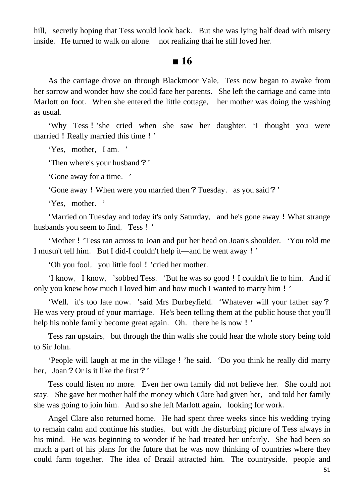hill, secretly hoping that Tess would look back. But she was lying half dead with misery inside. He turned to walk on alone, not realizing thai he still loved her.

#### **■ 16**

As the carriage drove on through Blackmoor Vale, Tess now began to awake from her sorrow and wonder how she could face her parents. She left the carriage and came into Marlott on foot. When she entered the little cottage, her mother was doing the washing as usual.

'Why Tess!'she cried when she saw her daughter.'I thought you were married ! Really married this time ! '

'Yes, mother, I am.'

'Then where's your husband?'

'Gone away for a time.'

'Gone away! When were you married then? Tuesday, as you said?'

'Yes, mother.'

'Married on Tuesday and today it's only Saturday, and he's gone away! What strange husbands you seem to find, Tess!'

'Mother!'Tess ran across to Joan and put her head on Joan's shoulder.'You told me I mustn't tell him. But I did-I couldn't help it—and he went away!'

'Oh you fool, you little fool ! 'cried her mother.

'I know, I know, 'sobbed Tess. 'But he was so good! I couldn't lie to him. And if only you knew how much I loved him and how much I wanted to marry him!'

'Well, it's too late now, 'said Mrs Durbeyfield. 'Whatever will your father say? He was very proud of your marriage. He's been telling them at the public house that you'll help his noble family become great again. Oh, there he is now!'

Tess ran upstairs, but through the thin walls she could hear the whole story being told to Sir John.

'People will laugh at me in the village!'he said.'Do you think he really did marry her, Joan? Or is it like the first?'

Tess could listen no more. Even her own family did not believe her. She could not stay. She gave her mother half the money which Clare had given her, and told her family she was going to join him. And so she left Marlott again, looking for work.

Angel Clare also returned home. He had spent three weeks since his wedding trying to remain calm and continue his studies, but with the disturbing picture of Tess always in his mind. He was beginning to wonder if he had treated her unfairly. She had been so much a part of his plans for the future that he was now thinking of countries where they could farm together. The idea of Brazil attracted him. The countryside, people and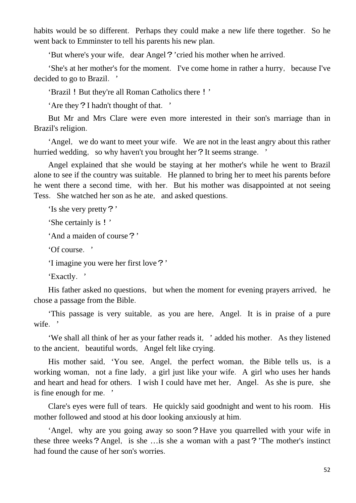habits would be so different. Perhaps they could make a new life there together. So he went back to Emminster to tell his parents his new plan.

'But where's your wife, dear Angel?' cried his mother when he arrived.

'She's at her mother's for the moment. I've come home in rather a hurry, because I've decided to go to Brazil. '

'Brazil! But they're all Roman Catholics there!'

'Are they? I hadn't thought of that. '

But Mr and Mrs Clare were even more interested in their son's marriage than in Brazil's religion.

'Angel, we do want to meet your wife. We are not in the least angry about this rather hurried wedding, so why haven't you brought her? It seems strange. '

Angel explained that she would be staying at her mother's while he went to Brazil alone to see if the country was suitable. He planned to bring her to meet his parents before he went there a second time, with her. But his mother was disappointed at not seeing Tess. She watched her son as he ate, and asked questions.

'Is she very pretty?'

'She certainly is!'

'And a maiden of course?'

'Of course.'

'I imagine you were her first love?'

'Exactly. '

His father asked no questions, but when the moment for evening prayers arrived, he chose a passage from the Bible.

'This passage is very suitable, as you are here, Angel. It is in praise of a pure wife. '

'We shall all think of her as your father reads it, ' added his mother. As they listened to the ancient, beautiful words, Angel felt like crying.

His mother said, 'You see, Angel, the perfect woman, the Bible tells us, is a working woman, not a fine lady, a girl just like your wife. A girl who uses her hands and heart and head for others. I wish I could have met her, Angel. As she is pure, she is fine enough for me.  $'$ 

Clare's eyes were full of tears. He quickly said goodnight and went to his room. His mother followed and stood at his door looking anxiously at him.

'Angel, why are you going away so soon? Have you quarrelled with your wife in these three weeks? Angel, is she …is she a woman with a past? The mother's instinct had found the cause of her son's worries.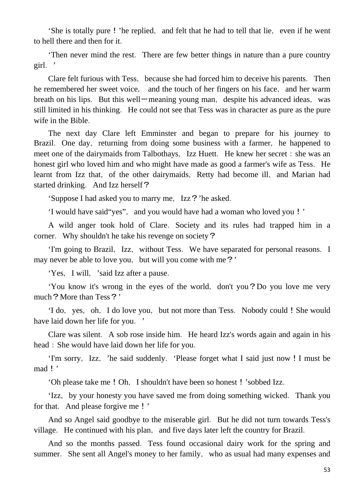'She is totally pure! 'he replied, and felt that he had to tell that lie, even if he went to hell there and then for it.

Then never mind the rest. There are few better things in nature than a pure country girl.'

Clare felt furious with Tess, because she had forced him to deceive his parents. Then he remembered her sweet voice, and the touch of her fingers on his face, and her warm breath on his lips. But this well-meaning young man, despite his advanced ideas, was still limited in his thinking. He could not see that Tess was in character as pure as the pure wife in the Bible.

The next day Clare left Emminster and began to prepare for his journey to Brazil. One day, returning from doing some business with a farmer, he happened to meet one of the dairymaids from Talbothays, Izz Huett. He knew her secret: she was an honest girl who loved him and who might have made as good a farmer's wife as Tess. He learnt from Izz that, of the other dairymaids, Retty had become ill, and Marian had started drinking. And Izz herself?

'Suppose I had asked you to marry me, Izz?'he asked.

'I would have said "yes", and you would have had a woman who loved you!'

A wild anger took hold of Clare. Society and its rules had trapped him in a corner. Why shouldn't he take his revenge on society?

'I'm going to Brazil, Izz, without Tess. We have separated for personal reasons. I may never be able to love you, but will you come with me?'

'Yes, I will, 'said Izz after a pause.

'You know it's wrong in the eyes of the world, don't you?Do you love me very much? More than Tess?'

'I do, yes, oh, I do love you, but not more than Tess. Nobody could! She would have laid down her life for you. '

Clare was silent. A sob rose inside him. He heard Izz's words again and again in his head: She would have laid down her life for you.

'I'm sorry, Izz, 'he said suddenly. 'Please forget what I said just now! I must be mad!'

'Oh please take me!Oh,I shouldn't have been so honest!'sobbed Izz.

'Izz, by your honesty you have saved me from doing something wicked. Thank you for that. And please forgive me ! '

And so Angel said goodbye to the miserable girl. But he did not turn towards Tess's village. He continued with his plan, and five days later left the country for Brazil.

And so the months passed. Tess found occasional dairy work for the spring and summer. She sent all Angel's money to her family, who as usual had many expenses and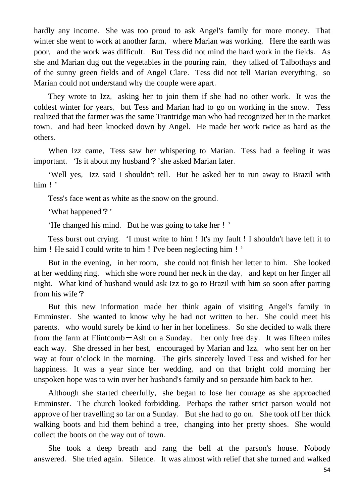hardly any income. She was too proud to ask Angel's family for more money. That winter she went to work at another farm, where Marian was working. Here the earth was poor, and the work was difficult. But Tess did not mind the hard work in the fields. As she and Marian dug out the vegetables in the pouring rain, they talked of Talbothays and of the sunny green fields and of Angel Clare. Tess did not tell Marian everything, so Marian could not understand why the couple were apart.

They wrote to Izz, asking her to join them if she had no other work. It was the coldest winter for years, but Tess and Marian had to go on working in the snow. Tess realized that the farmer was the same Trantridge man who had recognized her in the market town, and had been knocked down by Angel. He made her work twice as hard as the others.

When Izz came, Tess saw her whispering to Marian. Tess had a feeling it was important. 'Is it about my husband?'she asked Marian later.

'Well yes, Izz said I shouldn't tell. But he asked her to run away to Brazil with him!'

Tess's face went as white as the snow on the ground.

'What happened?'

'He changed his mind. But he was going to take her!'

Tess burst out crying. 'I must write to him! It's my fault! I shouldn't have left it to him! He said I could write to him! I've been neglecting him!'

But in the evening, in her room, she could not finish her letter to him. She looked at her wedding ring, which she wore round her neck in the day, and kept on her finger all night. What kind of husband would ask Izz to go to Brazil with him so soon after parting from his wife?

But this new information made her think again of visiting Angel's family in Emminster. She wanted to know why he had not written to her. She could meet his parents, who would surely be kind to her in her loneliness. So she decided to walk there from the farm at Flintcomb-Ash on a Sunday, her only free day. It was fifteen miles each way. She dressed in her best, encouraged by Marian and Izz, who sent her on her way at four o'clock in the morning. The girls sincerely loved Tess and wished for her happiness. It was a year since her wedding, and on that bright cold morning her unspoken hope was to win over her husband's family and so persuade him back to her.

Although she started cheerfully, she began to lose her courage as she approached Emminster. The church looked forbidding. Perhaps the rather strict parson would not approve of her travelling so far on a Sunday. But she had to go on. She took off her thick walking boots and hid them behind a tree, changing into her pretty shoes. She would collect the boots on the way out of town.

She took a deep breath and rang the bell at the parson's house. Nobody answered. She tried again. Silence. It was almost with relief that she turned and walked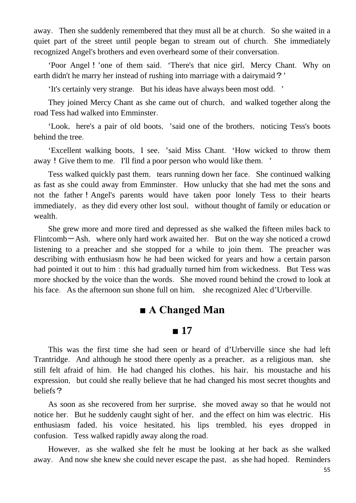away. Then she suddenly remembered that they must all be at church. So she waited in a quiet part of the street until people began to stream out of church. She immediately recognized Angel's brothers and even overheard some of their conversation.

'Poor Angel!'one of them said. 'There's that nice girl, Mercy Chant. Why on earth didn't he marry her instead of rushing into marriage with a dairymaid?'

'It's certainly very strange. But his ideas have always been most odd. '

They joined Mercy Chant as she came out of church, and walked together along the road Tess had walked into Emminster.

'Look, here's a pair of old boots, 'said one of the brothers, noticing Tess's boots behind the tree.

'Excellent walking boots, I see, 'said Miss Chant. 'How wicked to throw them away! Give them to me. I'll find a poor person who would like them. '

Tess walked quickly past them, tears running down her face. She continued walking as fast as she could away from Emminster. How unlucky that she had met the sons and not the father!Angel's parents would have taken poor lonely Tess to their hearts immediately, as they did every other lost soul, without thought of family or education or wealth.

She grew more and more tired and depressed as she walked the fifteen miles back to Flintcomb $-Ash$ , where only hard work awaited her. But on the way she noticed a crowd listening to a preacher and she stopped for a while to join them. The preacher was describing with enthusiasm how he had been wicked for years and how a certain parson had pointed it out to him: this had gradually turned him from wickedness. But Tess was more shocked by the voice than the words. She moved round behind the crowd to look at his face. As the afternoon sun shone full on him, she recognized Alec d'Urberville.

### **■ A Changed Man**

#### **■ 17**

This was the first time she had seen or heard of d'Urberville since she had left Trantridge. And although he stood there openly as a preacher, as a religious man, she still felt afraid of him. He had changed his clothes, his hair, his moustache and his expression, but could she really believe that he had changed his most secret thoughts and beliefs?

As soon as she recovered from her surprise, she moved away so that he would not notice her. But he suddenly caught sight of her, and the effect on him was electric. His enthusiasm faded, his voice hesitated, his lips trembled, his eyes dropped in confusion. Tess walked rapidly away along the road.

However, as she walked she felt he must be looking at her back as she walked away. And now she knew she could never escape the past, as she had hoped. Reminders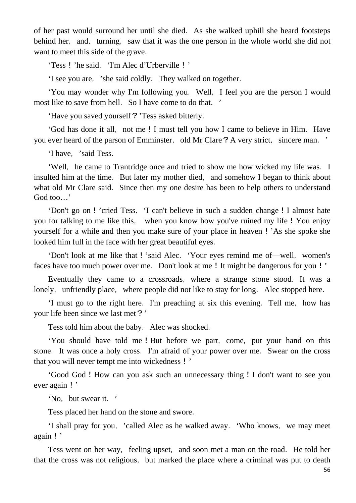of her past would surround her until she died.As she walked uphill she heard footsteps behind her, and, turning, saw that it was the one person in the whole world she did not want to meet this side of the grave.

'Tess!'he said.'I'm Alec d'Urberville!'

'I see you are, 'she said coldly. They walked on together.

'You may wonder why I'm following you. Well, I feel you are the person I would most like to save from hell. So I have come to do that. '

'Have you saved yourself?'Tess asked bitterly.

'God has done it all, not me! I must tell you how I came to believe in Him. Have you ever heard of the parson of Emminster, old Mr Clare? A very strict, sincere man.'

'I have, 'said Tess.

'Well, he came to Trantridge once and tried to show me how wicked my life was. I insulted him at the time. But later my mother died, and somehow I began to think about what old Mr Clare said. Since then my one desire has been to help others to understand God too…'

'Don't go on!'cried Tess.'I can't believe in such a sudden change!I almost hate you for talking to me like this, when you know how you've ruined my life!You enjoy yourself for a while and then you make sure of your place in heaven!'As she spoke she looked him full in the face with her great beautiful eyes.

'Don't look at me like that ! 'said Alec. 'Your eyes remind me of—well, women's faces have too much power over me. Don't look at me! It might be dangerous for you!'

Eventually they came to a crossroads, where a strange stone stood. It was a lonely, unfriendly place, where people did not like to stay for long. Alec stopped here.

'I must go to the right here. I'm preaching at six this evening. Tell me, how has your life been since we last met?'

Tess told him about the baby. Alec was shocked.

'You should have told me! But before we part, come, put your hand on this stone. It was once a holy cross. I'm afraid of your power over me. Swear on the cross that you will never tempt me into wickedness ! '

'Good God!How can you ask such an unnecessary thing!I don't want to see you ever again ! '

'No, but swear it. '

Tess placed her hand on the stone and swore.

'I shall pray for you, 'called Alec as he walked away. 'Who knows, we may meet again!'

Tess went on her way, feeling upset, and soon met a man on the road. He told her that the cross was not religious, but marked the place where a criminal was put to death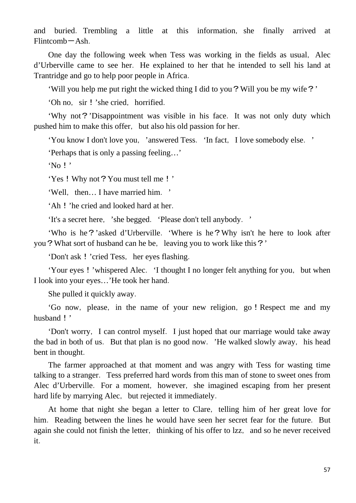and buried. Trembling a little at this information, she finally arrived at Flintcomb-Ash.

One day the following week when Tess was working in the fields as usual, Alec d'Urberville came to see her. He explained to her that he intended to sell his land at Trantridge and go to help poor people in Africa.

'Will you help me put right the wicked thing I did to you?Will you be my wife?'

'Oh no, sir!'she cried, horrified.

'Why not?'Disappointment was visible in his face. It was not only duty which pushed him to make this offer, but also his old passion for her.

'You know I don't love you, 'answered Tess. 'In fact, I love somebody else.'

'Perhaps that is only a passing feeling…'

'No!'

'Yes!Why not?You must tell me!'

'Well, then... I have married him. '

'Ah!'he cried and looked hard at her.

'It's a secret here, 'she begged. 'Please don't tell anybody.'

'Who is he?'asked d'Urberville.'Where is he?Why isn't he here to look after you? What sort of husband can he be, leaving you to work like this?'

'Don't ask ! 'cried Tess, her eyes flashing.

'Your eyes!' whispered Alec. 'I thought I no longer felt anything for you, but when I look into your eyes…'He took her hand.

She pulled it quickly away.

'Go now, please, in the name of your new religion, go! Respect me and my husband!'

'Don't worry, I can control myself. I just hoped that our marriage would take away the bad in both of us. But that plan is no good now. 'He walked slowly away, his head bent in thought.

The farmer approached at that moment and was angry with Tess for wasting time talking to a stranger. Tess preferred hard words from this man of stone to sweet ones from Alec d'Urberville. For a moment, however, she imagined escaping from her present hard life by marrying Alec, but rejected it immediately.

At home that night she began a letter to Clare, telling him of her great love for him. Reading between the lines he would have seen her secret fear for the future. But again she could not finish the letter, thinking of his offer to lzz, and so he never received it.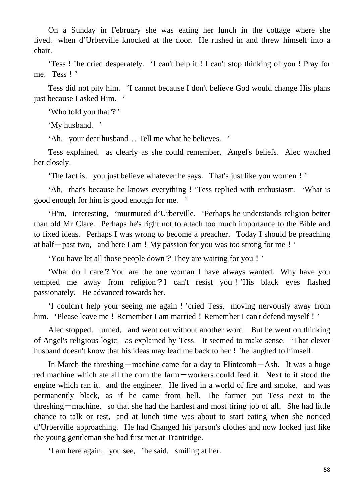On a Sunday in February she was eating her lunch in the cottage where she lived, when d'Urberville knocked at the door. He rushed in and threw himself into a chair.

'Tess!'he cried desperately.'I can't help it!I can't stop thinking of you!Pray for me, Tess!'

Tess did not pity him.'I cannot because I don't believe God would change His plans just because I asked Him. '

'Who told you that?'

'My husband.'

'Ah, your dear husband... Tell me what he believes.'

Tess explained, as clearly as she could remember, Angel's beliefs. Alec watched her closely.

'The fact is, you just believe whatever he says. That's just like you women!'

'Ah, that's because he knows everything! 'Tess replied with enthusiasm. 'What is good enough for him is good enough for me.'

'H'm, interesting, 'murmured d'Urberville. 'Perhaps he understands religion better than old Mr Clare. Perhaps he's right not to attach too much importance to the Bible and to fixed ideas. Perhaps I was wrong to become a preacher. Today I should be preaching at half-past two, and here I am! My passion for you was too strong for me!'

'You have let all those people down?They are waiting for you!'

'What do I care? You are the one woman I have always wanted. Why have you tempted me away from religion?I can't resist you!'His black eyes flashed passionately. He advanced towards her.

'I couldn't help your seeing me again! 'cried Tess, moving nervously away from him. 'Please leave me! Remember I am married! Remember I can't defend myself!'

Alec stopped, turned, and went out without another word. But he went on thinking of Angel's religious logic, as explained by Tess. It seemed to make sense. 'That clever husband doesn't know that his ideas may lead me back to her! 'he laughed to himself.

In March the threshing-machine came for a day to Flintcomb-Ash. It was a huge red machine which ate all the corn the farm-workers could feed it. Next to it stood the engine which ran it, and the engineer. He lived in a world of fire and smoke, and was permanently black,as if he came from hell.The farmer put Tess next to the  $threshold - machine$ , so that she had the hardest and most tiring job of all. She had little chance to talk or rest, and at lunch time was about to start eating when she noticed d'Urberville approaching. He had Changed his parson's clothes and now looked just like the young gentleman she had first met at Trantridge.

'I am here again, you see, 'he said, smiling at her.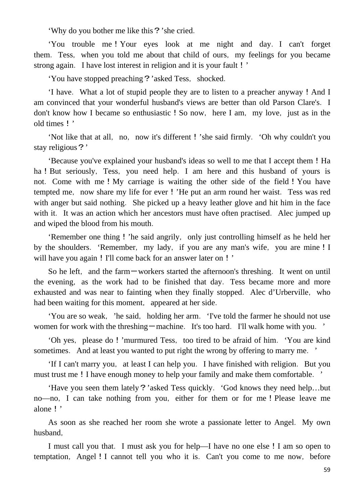'Why do you bother me like this?'she cried.

'You trouble me!Your eyes look at me night and day.I can't forget them. Tess, when you told me about that child of ours, my feelings for you became strong again. I have lost interest in religion and it is your fault!'

'You have stopped preaching?'asked Tess, shocked.

'I have.What a lot of stupid people they are to listen to a preacher anyway!And I am convinced that your wonderful husband's views are better than old Parson Clare's. I don't know how I became so enthusiastic! So now, here I am, my love, just as in the old times!'

'Not like that at all, no, now it's different!' she said firmly. 'Oh why couldn't you stay religious?'

'Because you've explained your husband's ideas so well to me that I accept them!Ha ha! But seriously, Tess, you need help. I am here and this husband of yours is not.Come with me!My carriage is waiting the other side of the field!You have tempted me, now share my life for ever! 'He put an arm round her waist. Tess was red with anger but said nothing. She picked up a heavy leather glove and hit him in the face with it. It was an action which her ancestors must have often practised. Alec jumped up and wiped the blood from his mouth.

'Remember one thing! 'he said angrily, only just controlling himself as he held her by the shoulders. 'Remember, my lady, if you are any man's wife, you are mine! I will have you again! I'll come back for an answer later on!'

So he left, and the farm-workers started the afternoon's threshing. It went on until the evening, as the work had to be finished that day. Tess became more and more exhausted and was near to fainting when they finally stopped. Alec d'Urberville, who had been waiting for this moment, appeared at her side.

'You are so weak, 'he said, holding her arm. 'I've told the farmer he should not use women for work with the threshing—machine. It's too hard. I'll walk home with you.'

'Oh yes, please do!'murmured Tess, too tired to be afraid of him. 'You are kind sometimes. And at least you wanted to put right the wrong by offering to marry me. '

'If I can't marry you, at least I can help you. I have finished with religion. But you must trust me! I have enough money to help your family and make them comfortable. '

'Have you seen them lately?'asked Tess quickly.'God knows they need help…but no—no, I can take nothing from you, either for them or for me! Please leave me alone!'

As soon as she reached her room she wrote a passionate letter to Angel. My own husband,

I must call you that.I must ask you for help—I have no one else!I am so open to temptation, Angel! I cannot tell you who it is. Can't you come to me now, before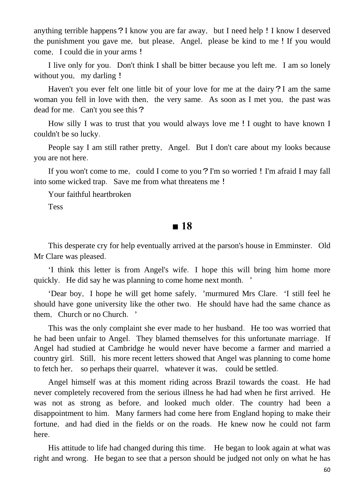anything terrible happens? I know you are far away, but I need help! I know I deserved the punishment you gave me, but please, Angel, please be kind to me! If you would come, I could die in your arms!

I live only for you. Don't think I shall be bitter because you left me. I am so lonely without you, my darling!

Haven't you ever felt one little bit of your love for me at the dairy?I am the same woman you fell in love with then, the very same. As soon as I met you, the past was dead for me. Can't you see this?

How silly I was to trust that you would always love me!I ought to have known I couldn't be so lucky.

People say I am still rather pretty, Angel. But I don't care about my looks because you are not here.

If you won't come to me, could I come to you? I'm so worried! I'm afraid I may fall into some wicked trap. Save me from what threatens me !

Your faithful heartbroken

Tess

# **■ 18**

This desperate cry for help eventually arrived at the parson's house in Emminster. Old Mr Clare was pleased.

'I think this letter is from Angel's wife.I hope this will bring him home more quickly. He did say he was planning to come home next month. '

'Dear boy,I hope he will get home safely,'murmured Mrs Clare.'I still feel he should have gone university like the other two. He should have had the same chance as them, Church or no Church. '

This was the only complaint she ever made to her husband. He too was worried that he had been unfair to Angel. They blamed themselves for this unfortunate marriage. If Angel had studied at Cambridge he would never have become a farmer and married a country girl. Still, his more recent letters showed that Angel was planning to come home to fetch her, so perhaps their quarrel, whatever it was, could be settled.

Angel himself was at this moment riding across Brazil towards the coast. He had never completely recovered from the serious illness he had had when he first arrived. He was not as strong as before, and looked much older. The country had been a disappointment to him. Many farmers had come here from England hoping to make their fortune, and had died in the fields or on the roads. He knew now he could not farm here.

His attitude to life had changed during this time. He began to look again at what was right and wrong. He began to see that a person should be judged not only on what he has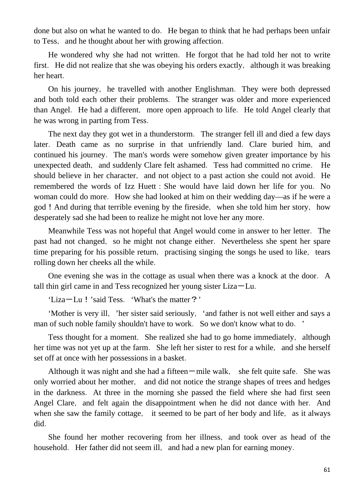done but also on what he wanted to do. He began to think that he had perhaps been unfair to Tess, and he thought about her with growing affection.

He wondered why she had not written. He forgot that he had told her not to write first. He did not realize that she was obeying his orders exactly, although it was breaking her heart.

On his journey, he travelled with another Englishman. They were both depressed and both told each other their problems. The stranger was older and more experienced than Angel. He had a different, more open approach to life. He told Angel clearly that he was wrong in parting from Tess.

The next day they got wet in a thunderstorm. The stranger fell ill and died a few days later. Death came as no surprise in that unfriendly land. Clare buried him, and continued his journey. The man's words were somehow given greater importance by his unexpected death, and suddenly Clare felt ashamed. Tess had committed no crime. He should believe in her character, and not object to a past action she could not avoid. He remembered the words of Izz Huett: She would have laid down her life for you. No woman could do more. How she had looked at him on their wedding day—as if he were a god! And during that terrible evening by the fireside, when she told him her story, how desperately sad she had been to realize he might not love her any more.

Meanwhile Tess was not hopeful that Angel would come in answer to her letter. The past had not changed, so he might not change either. Nevertheless she spent her spare time preparing for his possible return, practising singing the songs he used to like, tears rolling down her cheeks all the while.

One evening she was in the cottage as usual when there was a knock at the door. A tall thin girl came in and Tess recognized her young sister  $Liza-Lu$ .

'Liza-Lu!'said Tess. 'What's the matter?'

'Mother is very ill, 'her sister said seriously, 'and father is not well either and says a man of such noble family shouldn't have to work. So we don't know what to do. '

Tess thought for a moment. She realized she had to go home immediately, although her time was not yet up at the farm. She left her sister to rest for a while, and she herself set off at once with her possessions in a basket.

Although it was night and she had a fifteen $-\text{mile walk}$ , she felt quite safe. She was only worried about her mother, and did not notice the strange shapes of trees and hedges in the darkness. At three in the morning she passed the field where she had first seen Angel Clare, and felt again the disappointment when he did not dance with her. And when she saw the family cottage, it seemed to be part of her body and life, as it always did.

She found her mother recovering from her illness, and took over as head of the household. Her father did not seem ill. and had a new plan for earning money.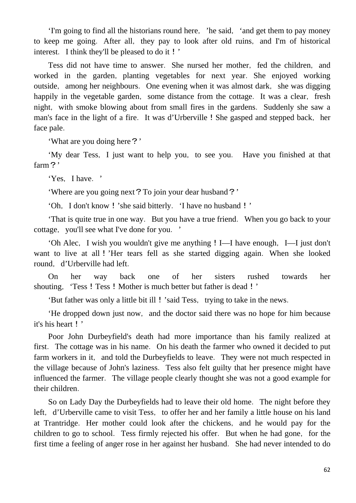'I'm going to find all the historians round here,'he said,'and get them to pay money to keep me going. After all, they pay to look after old ruins, and I'm of historical interest. I think they'll be pleased to do it!'

Tess did not have time to answer. She nursed her mother, fed the children, and worked in the garden, planting vegetables for next year. She enjoyed working outside, among her neighbours. One evening when it was almost dark, she was digging happily in the vegetable garden, some distance from the cottage. It was a clear, fresh night, with smoke blowing about from small fires in the gardens. Suddenly she saw a man's face in the light of a fire. It was d'Urberville! She gasped and stepped back, her face pale.

'What are you doing here?'

'My dear Tess, I just want to help you, to see you. Have you finished at that farm?'

'Yes, I have.'

'Where are you going next?To join your dear husband?'

'Oh, I don't know!' she said bitterly. 'I have no husband!'

'That is quite true in one way. But you have a true friend. When you go back to your cottage, you'll see what I've done for you.'

'Oh Alec,I wish you wouldn't give me anything!I—I have enough,I—I just don't want to live at all! 'Her tears fell as she started digging again. When she looked round, d'Urberville had left.

On her way back one of her sisters rushed towards her shouting, 'Tess! Tess! Mother is much better but father is dead!'

'But father was only a little bit ill!' said Tess, trying to take in the news.

'He dropped down just now, and the doctor said there was no hope for him because it's his heart!'

Poor John Durbeyfield's death had more importance than his family realized at first. The cottage was in his name. On his death the farmer who owned it decided to put farm workers in it, and told the Durbeyfields to leave. They were not much respected in the village because of John's laziness. Tess also felt guilty that her presence might have influenced the farmer. The village people clearly thought she was not a good example for their children.

So on Lady Day the Durbeyfields had to leave their old home. The night before they left, d'Urberville came to visit Tess, to offer her and her family a little house on his land at Trantridge. Her mother could look after the chickens, and he would pay for the children to go to school. Tess firmly rejected his offer. But when he had gone, for the first time a feeling of anger rose in her against her husband. She had never intended to do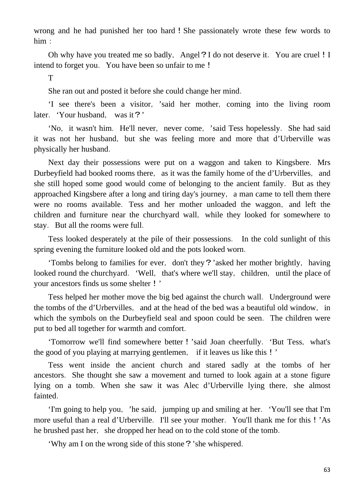wrong and he had punished her too hard! She passionately wrote these few words to him:

Oh why have you treated me so badly, Angel?I do not deserve it. You are cruel! I intend to forget you. You have been so unfair to me!

T

She ran out and posted it before she could change her mind.

'I see there's been a visitor,'said her mother,coming into the living room later. 'Your husband, was it?'

'No, it wasn't him. He'll never, never come, 'said Tess hopelessly. She had said it was not her husband, but she was feeling more and more that d'Urberville was physically her husband.

Next day their possessions were put on a waggon and taken to Kingsbere. Mrs Durbeyfield had booked rooms there, as it was the family home of the d'Urbervilles, and she still hoped some good would come of belonging to the ancient family. But as they approached Kingsbere after a long and tiring day's journey, a man came to tell them there were no rooms available. Tess and her mother unloaded the waggon, and left the children and furniture near the churchyard wall, while they looked for somewhere to stay. But all the rooms were full.

Tess looked desperately at the pile of their possessions. In the cold sunlight of this spring evening the furniture looked old and the pots looked worn.

'Tombs belong to families for ever, don't they?'asked her mother brightly, having looked round the churchyard. 'Well, that's where we'll stay, children, until the place of your ancestors finds us some shelter!'

Tess helped her mother move the big bed against the church wall. Underground were the tombs of the d'Urbervilles, and at the head of the bed was a beautiful old window, in which the symbols on the Durbeyfield seal and spoon could be seen. The children were put to bed all together for warmth and comfort.

'Tomorrow we'll find somewhere better!'said Joan cheerfully. 'But Tess, what's the good of you playing at marrying gentlemen, if it leaves us like this!'

Tess went inside the ancient church and stared sadly at the tombs of her ancestors. She thought she saw a movement and turned to look again at a stone figure lying on a tomb. When she saw it was Alec d'Urberville lying there, she almost fainted.

'I'm going to help you, 'he said, jumping up and smiling at her. 'You'll see that I'm more useful than a real d'Urberville. I'll see your mother. You'll thank me for this! 'As he brushed past her, she dropped her head on to the cold stone of the tomb.

'Why am I on the wrong side of this stone?'she whispered.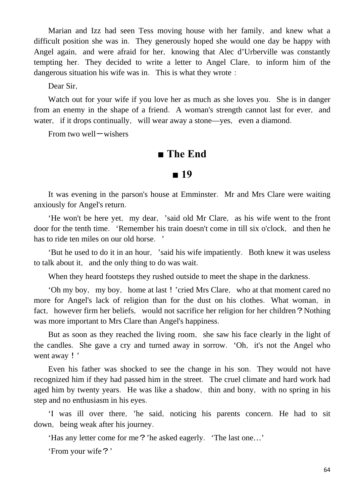Marian and Izz had seen Tess moving house with her family, and knew what a difficult position she was in. They generously hoped she would one day be happy with Angel again, and were afraid for her, knowing that Alec d'Urberville was constantly tempting her. They decided to write a letter to Angel Clare, to inform him of the dangerous situation his wife was in. This is what they wrote:

Dear Sir,

Watch out for your wife if you love her as much as she loves you. She is in danger from an enemy in the shape of a friend. A woman's strength cannot last for ever, and water, if it drops continually, will wear away a stone—yes, even a diamond.

From two well-wishers

#### **■ The End**

#### **■ 19**

It was evening in the parson's house at Emminster. Mr and Mrs Clare were waiting anxiously for Angel's return.

'He won't be here yet, my dear, 'said old Mr Clare, as his wife went to the front door for the tenth time. 'Remember his train doesn't come in till six o'clock, and then he has to ride ten miles on our old horse. '

'But he used to do it in an hour, 'said his wife impatiently. Both knew it was useless to talk about it, and the only thing to do was wait.

When they heard footsteps they rushed outside to meet the shape in the darkness.

'Oh my boy, my boy, home at last!' cried Mrs Clare, who at that moment cared no more for Angel's lack of religion than for the dust on his clothes. What woman, in fact, however firm her beliefs, would not sacrifice her religion for her children? Nothing was more important to Mrs Clare than Angel's happiness.

But as soon as they reached the living room, she saw his face clearly in the light of the candles. She gave a cry and turned away in sorrow. 'Oh, it's not the Angel who went away ! '

Even his father was shocked to see the change in his son.They would not have recognized him if they had passed him in the street. The cruel climate and hard work had aged him by twenty years. He was like a shadow, thin and bony, with no spring in his step and no enthusiasm in his eyes.

'I was ill over there, 'he said, noticing his parents concern. He had to sit down, being weak after his journey.

'Has any letter come for me?'he asked eagerly. 'The last one...'

'From your wife?'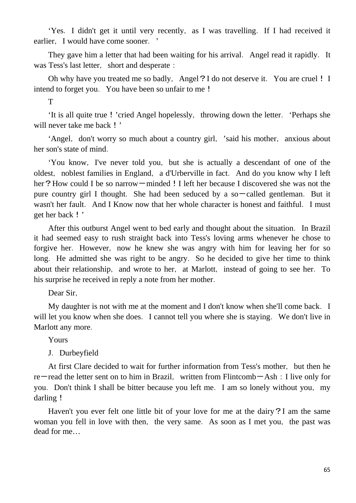'Yes. I didn't get it until very recently, as I was travelling. If I had received it earlier. I would have come sooner. '

They gave him a letter that had been waiting for his arrival. Angel read it rapidly. It was Tess's last letter, short and desperate:

Oh why have you treated me so badly, Angel? I do not deserve it. You are cruel! I intend to forget you. You have been so unfair to me!

T

'It is all quite true! 'cried Angel hopelessly, throwing down the letter. 'Perhaps she will never take me back ! '

'Angel, don't worry so much about a country girl, 'said his mother, anxious about her son's state of mind.

'You know, I've never told you, but she is actually a descendant of one of the oldest, noblest families in England, a d'Urberville in fact. And do you know why I left her? How could I be so narrow-minded! I left her because I discovered she was not the pure country girl I thought. She had been seduced by a so-called gentleman. But it wasn't her fault. And I Know now that her whole character is honest and faithful. I must get her back!'

After this outburst Angel went to bed early and thought about the situation. In Brazil it had seemed easy to rush straight back into Tess's loving arms whenever he chose to forgive her. However, now he knew she was angry with him for leaving her for so long. He admitted she was right to be angry. So he decided to give her time to think about their relationship, and wrote to her, at Marlott, instead of going to see her. To his surprise he received in reply a note from her mother.

Dear Sir,

My daughter is not with me at the moment and I don't know when she'll come back. I will let you know when she does. I cannot tell you where she is staying. We don't live in Marlott any more.

Yours

J. Durbeyfield

At first Clare decided to wait for further information from Tess's mother, but then he  $re$  read the letter sent on to him in Brazil, written from Flintcomb  $-$  Ash: I live only for you. Don't think I shall be bitter because you left me. I am so lonely without you, my darling !

Haven't you ever felt one little bit of your love for me at the dairy?I am the same woman you fell in love with then, the very same. As soon as I met you, the past was dead for me…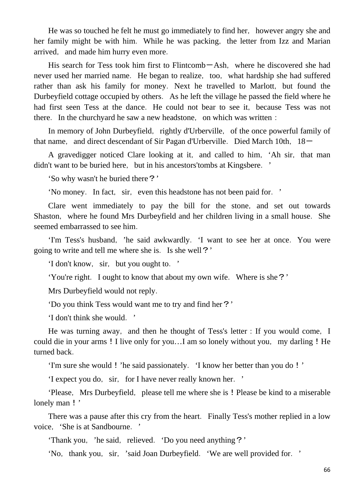He was so touched he felt he must go immediately to find her, however angry she and her family might be with him. While he was packing, the letter from Izz and Marian arrived, and made him hurry even more.

His search for Tess took him first to Flintcomb $-Ash$ , where he discovered she had never used her married name. He began to realize, too, what hardship she had suffered rather than ask his family for money. Next he travelled to Marlott, but found the Durbeyfield cottage occupied by others. As he left the village he passed the field where he had first seen Tess at the dance. He could not bear to see it, because Tess was not there. In the churchyard he saw a new headstone, on which was written:

In memory of John Durbeyfield, rightly d'Urberville, of the once powerful family of that name, and direct descendant of Sir Pagan d'Urberville. Died March 10th,  $18-$ 

A gravedigger noticed Clare looking at it, and called to him, 'Ah sir, that man didn't want to be buried here, but in his ancestors' tombs at Kingsbere. '

'So why wasn't he buried there?'

'No money. In fact, sir, even this headstone has not been paid for.'

Clare went immediately to pay the bill for the stone, and set out towards Shaston, where he found Mrs Durbeyfield and her children living in a small house. She seemed embarrassed to see him.

'I'm Tess's husband,'he said awkwardly.'I want to see her at once.You were going to write and tell me where she is.Is she well?'

'I don't know, sir, but you ought to. '

'You're right. I ought to know that about my own wife. Where is she?'

Mrs Durbeyfield would not reply.

'Do you think Tess would want me to try and find her?'

'I don't think she would.'

He was turning away, and then he thought of Tess's letter: If you would come, I could die in your arms! I live only for you...I am so lonely without you, my darling! He turned back.

'I'm sure she would!'he said passionately.'I know her better than you do!'

'I expect you do, sir, for I have never really known her. '

'Please, Mrs Durbeyfield, please tell me where she is! Please be kind to a miserable lonely man!'

There was a pause after this cry from the heart. Finally Tess's mother replied in a low voice. 'She is at Sandbourne.'

'Thank you, 'he said, relieved. 'Do you need anything?'

'No, thank you, sir, 'said Joan Durbeyfield. 'We are well provided for.'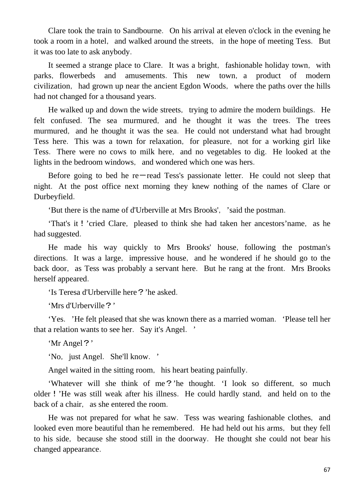Clare took the train to Sandbourne. On his arrival at eleven o'clock in the evening he took a room in a hotel, and walked around the streets, in the hope of meeting Tess. But it was too late to ask anybody.

It seemed a strange place to Clare. It was a bright, fashionable holiday town, with parks, flowerbeds and amusements. This new town, a product of modern civilization, had grown up near the ancient Egdon Woods, where the paths over the hills had not changed for a thousand years.

He walked up and down the wide streets, trying to admire the modern buildings. He felt confused. The sea murmured, and he thought it was the trees. The trees murmured, and he thought it was the sea. He could not understand what had brought Tess here. This was a town for relaxation, for pleasure, not for a working girl like Tess. There were no cows to milk here, and no vegetables to dig. He looked at the lights in the bedroom windows, and wondered which one was hers.

Before going to bed he re-read Tess's passionate letter. He could not sleep that night.At the post office next morning they knew nothing of the names of Clare or Durbeyfield.

'But there is the name of d'Urberville at Mrs Brooks', 'said the postman.

'That's it!'cried Clare, pleased to think she had taken her ancestors' name, as he had suggested.

He made his way quickly to Mrs Brooks' house, following the postman's directions. It was a large, impressive house, and he wondered if he should go to the back door, as Tess was probably a servant here. But he rang at the front. Mrs Brooks herself appeared.

'Is Teresa d'Urberville here?'he asked.

'Mrs d'Urberville?'

'Yes.'He felt pleased that she was known there as a married woman.'Please tell her that a relation wants to see her. Say it's Angel. '

'Mr Angel?'

'No, just Angel. She'll know.'

Angel waited in the sitting room, his heart beating painfully.

'Whatever will she think of me?'he thought. 'I look so different, so much older! 'He was still weak after his illness. He could hardly stand, and held on to the back of a chair, as she entered the room.

He was not prepared for what he saw. Tess was wearing fashionable clothes, and looked even more beautiful than he remembered. He had held out his arms, but they fell to his side, because she stood still in the doorway. He thought she could not bear his changed appearance.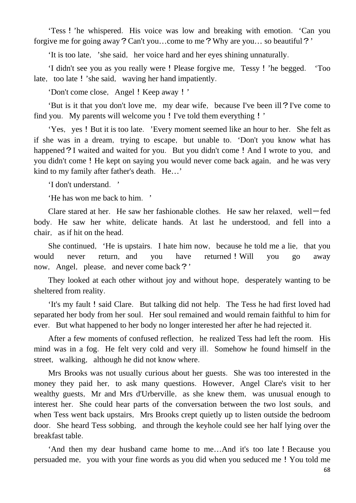'Tess!'he whispered.His voice was low and breaking with emotion.'Can you forgive me for going away?Can't you…come to me?Why are you… so beautiful?'

'It is too late, 'she said, her voice hard and her eyes shining unnaturally.

'I didn't see you as you really were!Please forgive me,Tessy!'he begged. 'Too late, too late! 'she said, waving her hand impatiently.

'Don't come close, Angel! Keep away!'

'But is it that you don't love me, my dear wife, because I've been ill? I've come to find you. My parents will welcome you! I've told them everything!'

'Yes, yes! But it is too late. 'Every moment seemed like an hour to her. She felt as if she was in a dream, trying to escape, but unable to. 'Don't you know what has happened?I waited and waited for you. But you didn't come! And I wrote to you, and you didn't come! He kept on saying you would never come back again, and he was very kind to my family after father's death. He...'

'I don't understand.'

'He has won me back to him.'

Clare stared at her. He saw her fashionable clothes. He saw her relaxed, well-fed body. He saw her white, delicate hands. At last he understood, and fell into a chair, as if hit on the head.

She continued, 'He is upstairs. I hate him now, because he told me a lie, that you would never return, and you have returned! Will you go away now, Angel, please, and never come back?'

They looked at each other without joy and without hope, desperately wanting to be sheltered from reality.

'It's my fault! said Clare. But talking did not help. The Tess he had first loved had separated her body from her soul. Her soul remained and would remain faithful to him for ever. But what happened to her body no longer interested her after he had rejected it.

After a few moments of confused reflection. he realized Tess had left the room. His mind was in a fog. He felt very cold and very ill. Somehow he found himself in the street, walking, although he did not know where.

Mrs Brooks was not usually curious about her guests. She was too interested in the money they paid her, to ask many questions. However, Angel Clare's visit to her wealthy guests, Mr and Mrs d'Urberville, as she knew them, was unusual enough to interest her. She could hear parts of the conversation between the two lost souls, and when Tess went back upstairs. Mrs Brooks crept quietly up to listen outside the bedroom door. She heard Tess sobbing, and through the keyhole could see her half lying over the breakfast table.

'And then my dear husband came home to me…And it's too late!Because you persuaded me, you with your fine words as you did when you seduced me ! You told me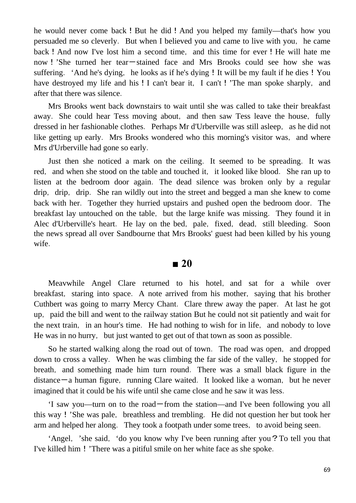he would never come back! But he did! And you helped my family—that's how you persuaded me so cleverly. But when I believed you and came to live with you, he came back! And now I've lost him a second time, and this time for ever! He will hate me now!'She turned her tear-stained face and Mrs Brooks could see how she was suffering. 'And he's dying, he looks as if he's dying! It will be my fault if he dies! You have destroyed my life and his! I can't bear it, I can't! 'The man spoke sharply, and after that there was silence.

Mrs Brooks went back downstairs to wait until she was called to take their breakfast away. She could hear Tess moving about, and then saw Tess leave the house, fully dressed in her fashionable clothes. Perhaps Mr d'Urberville was still asleep, as he did not like getting up early. Mrs Brooks wondered who this morning's visitor was, and where Mrs d'Urberville had gone so early.

Just then she noticed a mark on the ceiling. It seemed to be spreading. It was red, and when she stood on the table and touched it, it looked like blood. She ran up to listen at the bedroom door again. The dead silence was broken only by a regular drip, drip, drip. She ran wildly out into the street and begged a man she knew to come back with her. Together they hurried upstairs and pushed open the bedroom door. The breakfast lay untouched on the table, but the large knife was missing. They found it in Alec d'Urberville's heart. He lay on the bed, pale, fixed, dead, still bleeding. Soon the news spread all over Sandbourne that Mrs Brooks' guest had been killed by his young wife.

#### **■ 20**

Meavwhile Angel Clare returned to his hotel, and sat for a while over breakfast, staring into space. A note arrived from his mother, saying that his brother Cuthbert was going to marry Mercy Chant. Clare threw away the paper. At last he got up, paid the bill and went to the railway station But he could not sit patiently and wait for the next train, in an hour's time. He had nothing to wish for in life, and nobody to love He was in no hurry, but just wanted to get out of that town as soon as possible.

So he started walking along the road out of town. The road was open, and dropped down to cross a valley. When he was climbing the far side of the valley, he stopped for breath, and something made him turn round. There was a small black figure in the  $distance - a$  human figure, running Clare waited. It looked like a woman, but he never imagined that it could be his wife until she came close and he saw it was less.

'I saw you—turn on to the road-from the station—and I've been following you all this way! 'She was pale, breathless and trembling. He did not question her but took her arm and helped her along. They took a footpath under some trees, to avoid being seen.

'Angel, 'she said, 'do you know why I've been running after you? To tell you that I've killed him!'There was a pitiful smile on her white face as she spoke.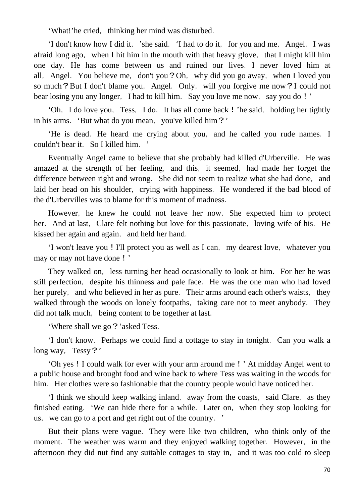'What!'he cried, thinking her mind was disturbed.

'I don't know how I did it, 'she said. 'I had to do it, for you and me, Angel. I was afraid long ago, when I hit him in the mouth with that heavy glove, that I might kill him one day.He has come between us and ruined our lives.I never loved him at all, Angel. You believe me, don't you? Oh, why did you go away, when I loved you so much? But I don't blame you, Angel. Only, will you forgive me now? I could not bear losing you any longer. I had to kill him. Say you love me now, say you do!'

'Oh, I do love you, Tess, I do. It has all come back! 'he said, holding her tightly in his arms. 'But what do you mean, you've killed him?'

'He is dead. He heard me crying about you, and he called you rude names. I couldn't bear it. So I killed him.

Eventually Angel came to believe that she probably had killed d'Urberville. He was amazed at the strength of her feeling, and this, it seemed, had made her forget the difference between right and wrong. She did not seem to realize what she had done, and laid her head on his shoulder, crying with happiness. He wondered if the bad blood of the d'Urbervilles was to blame for this moment of madness.

However, he knew he could not leave her now. She expected him to protect her. And at last, Clare felt nothing but love for this passionate, loving wife of his. He kissed her again and again, and held her hand.

'I won't leave you! I'll protect you as well as I can, my dearest love, whatever you may or may not have done ! '

They walked on, less turning her head occasionally to look at him. For her he was still perfection, despite his thinness and pale face. He was the one man who had loved her purely, and who believed in her as pure. Their arms around each other's waists, they walked through the woods on lonely footpaths, taking care not to meet anybody. They did not talk much, being content to be together at last.

'Where shall we go?'asked Tess.

'I don't know.Perhaps we could find a cottage to stay in tonight.Can you walk a long way, Tessy?'

'Oh yes!I could walk for ever with your arm around me!' At midday Angel went to a public house and brought food and wine back to where Tess was waiting in the woods for him. Her clothes were so fashionable that the country people would have noticed her.

'I think we should keep walking inland, away from the coasts, said Clare, as they finished eating. 'We can hide there for a while. Later on, when they stop looking for us, we can go to a port and get right out of the country. '

But their plans were vague. They were like two children, who think only of the moment. The weather was warm and they enjoyed walking together. However, in the afternoon they did nut find any suitable cottages to stay in, and it was too cold to sleep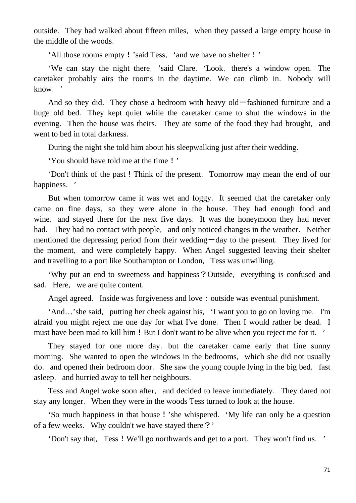outside. They had walked about fifteen miles, when they passed a large empty house in the middle of the woods.

'All those rooms empty ! 'said Tess, 'and we have no shelter!'

'We can stay the night there, 'said Clare. 'Look, there's a window open. The caretaker probably airs the rooms in the daytime. We can climb in. Nobody will know.'

And so they did. They chose a bedroom with heavy old-fashioned furniture and a huge old bed. They kept quiet while the caretaker came to shut the windows in the evening. Then the house was theirs. They ate some of the food they had brought, and went to bed in total darkness.

During the night she told him about his sleepwalking just after their wedding.

'You should have told me at the time!'

'Don't think of the past!Think of the present.Tomorrow may mean the end of our happiness. '

But when tomorrow came it was wet and foggy. It seemed that the caretaker only came on fine days, so they were alone in the house. They had enough food and wine, and stayed there for the next five days. It was the honeymoon they had never had. They had no contact with people, and only noticed changes in the weather. Neither mentioned the depressing period from their wedding $-day$  to the present. They lived for the moment, and were completely happy. When Angel suggested leaving their shelter and travelling to a port like Southampton or London, Tess was unwilling.

'Why put an end to sweetness and happiness? Outside, everything is confused and sad. Here, we are quite content.

Angel agreed. Inside was forgiveness and love: outside was eventual punishment.

'And...'she said, putting her cheek against his, 'I want you to go on loving me. I'm afraid you might reject me one day for what I've done. Then I would rather be dead. I must have been mad to kill him! But I don't want to be alive when you reject me for it. '

They stayed for one more day, but the caretaker came early that fine sunny morning. She wanted to open the windows in the bedrooms, which she did not usually do, and opened their bedroom door. She saw the young couple lying in the big bed, fast asleep, and hurried away to tell her neighbours.

Tess and Angel woke soon after, and decided to leave immediately. They dared not stay any longer. When they were in the woods Tess turned to look at the house.

'So much happiness in that house!'she whispered.'My life can only be a question of a few weeks. Why couldn't we have stayed there?'

'Don't say that, Tess! We'll go northwards and get to a port. They won't find us.'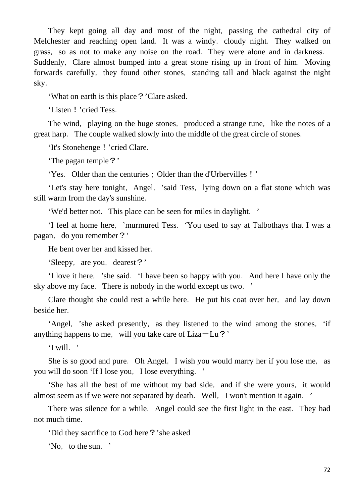They kept going all day and most of the night, passing the cathedral city of Melchester and reaching open land. It was a windy, cloudy night. They walked on grass, so as not to make any noise on the road. They were alone and in darkness. Suddenly, Clare almost bumped into a great stone rising up in front of him. Moving forwards carefully, they found other stones, standing tall and black against the night sky.

'What on earth is this place?'Clare asked.

'Listen! 'cried Tess.

The wind, playing on the huge stones, produced a strange tune, like the notes of a great harp. The couple walked slowly into the middle of the great circle of stones.

'It's Stonehenge!'cried Clare.

'The pagan temple?'

'Yes. Older than the centuries: Older than the d'Urbervilles!'

'Let's stay here tonight, Angel, 'said Tess, lying down on a flat stone which was still warm from the day's sunshine.

'We'd better not. This place can be seen for miles in daylight. '

'I feel at home here,'murmured Tess.'You used to say at Talbothays that I was a pagan, do you remember?'

He bent over her and kissed her.

'Sleepy, are you, dearest?'

'I love it here, 'she said. 'I have been so happy with you. And here I have only the sky above my face. There is nobody in the world except us two. '

Clare thought she could rest a while here. He put his coat over her, and lay down beside her.

'Angel, 'she asked presently, as they listened to the wind among the stones, 'if anything happens to me, will you take care of Liza $-Lu$ ?'

'I will. '

She is so good and pure. Oh Angel, I wish you would marry her if you lose me, as you will do soon 'If I lose you, I lose everything. '

'She has all the best of me without my bad side, and if she were yours, it would almost seem as if we were not separated by death. Well, I won't mention it again. '

There was silence for a while. Angel could see the first light in the east. They had not much time.

'Did they sacrifice to God here?'she asked

'No, to the sun.'